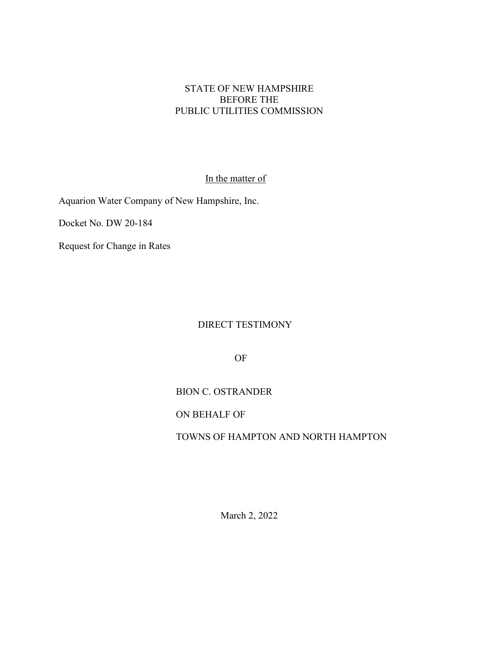#### STATE OF NEW HAMPSHIRE BEFORE THE PUBLIC UTILITIES COMMISSION

#### In the matter of

Aquarion Water Company of New Hampshire, Inc.

Docket No. DW 20-184

Request for Change in Rates

#### DIRECT TESTIMONY

OF

#### BION C. OSTRANDER

ON BEHALF OF

#### TOWNS OF HAMPTON AND NORTH HAMPTON

March 2, 2022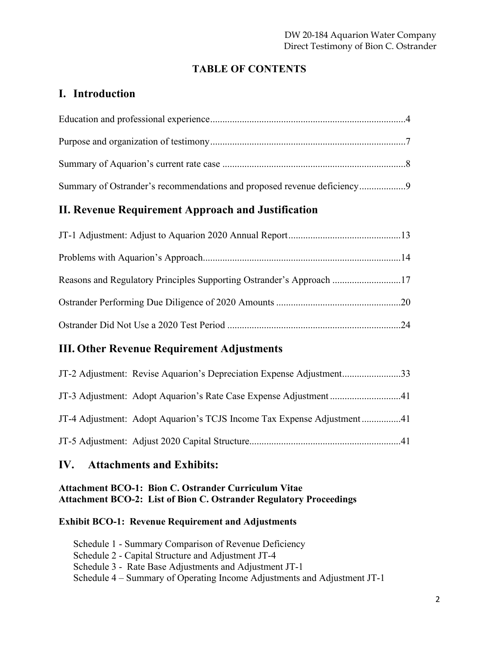# **TABLE OF CONTENTS**

# **I. Introduction**

| Summary of Ostrander's recommendations and proposed revenue deficiency9 |  |
|-------------------------------------------------------------------------|--|

# **II. Revenue Requirement Approach and Justification**

| Reasons and Regulatory Principles Supporting Ostrander's Approach 17 |  |
|----------------------------------------------------------------------|--|
|                                                                      |  |
|                                                                      |  |

# **III. Other Revenue Requirement Adjustments**

| JT-2 Adjustment: Revise Aquarion's Depreciation Expense Adjustment33   |
|------------------------------------------------------------------------|
| JT-3 Adjustment: Adopt Aquarion's Rate Case Expense Adjustment 41      |
| JT-4 Adjustment: Adopt Aquarion's TCJS Income Tax Expense Adjustment41 |
|                                                                        |

# **IV. Attachments and Exhibits:**

### **Attachment BCO-1: Bion C. Ostrander Curriculum Vitae Attachment BCO-2: List of Bion C. Ostrander Regulatory Proceedings**

### **Exhibit BCO-1: Revenue Requirement and Adjustments**

Schedule 1 - Summary Comparison of Revenue Deficiency Schedule 2 - Capital Structure and Adjustment JT-4 Schedule 3 - Rate Base Adjustments and Adjustment JT-1 Schedule 4 – Summary of Operating Income Adjustments and Adjustment JT-1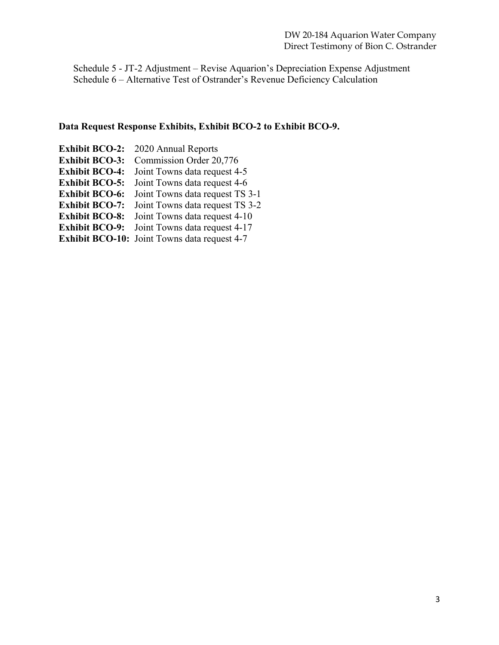Schedule 5 - JT-2 Adjustment – Revise Aquarion's Depreciation Expense Adjustment Schedule 6 – Alternative Test of Ostrander's Revenue Deficiency Calculation

#### **Data Request Response Exhibits, Exhibit BCO-2 to Exhibit BCO-9.**

**Exhibit BCO-2:** 2020 Annual Reports **Exhibit BCO-3:** Commission Order 20,776 **Exhibit BCO-4:** Joint Towns data request 4-5 **Exhibit BCO-5:** Joint Towns data request 4-6 **Exhibit BCO-6:** Joint Towns data request TS 3-1 **Exhibit BCO-7:** Joint Towns data request TS 3-2 **Exhibit BCO-8:** Joint Towns data request 4-10 **Exhibit BCO-9:** Joint Towns data request 4-17 **Exhibit BCO-10:** Joint Towns data request 4-7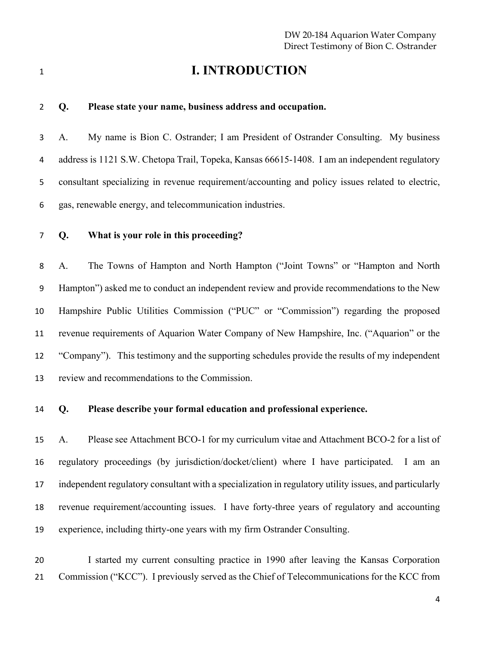# **I. INTRODUCTION**

#### **Q. Please state your name, business address and occupation.**

 A. My name is Bion C. Ostrander; I am President of Ostrander Consulting. My business address is 1121 S.W. Chetopa Trail, Topeka, Kansas 66615-1408. I am an independent regulatory consultant specializing in revenue requirement/accounting and policy issues related to electric, gas, renewable energy, and telecommunication industries.

**Q. What is your role in this proceeding?**

 A. The Towns of Hampton and North Hampton ("Joint Towns" or "Hampton and North Hampton") asked me to conduct an independent review and provide recommendations to the New Hampshire Public Utilities Commission ("PUC" or "Commission") regarding the proposed revenue requirements of Aquarion Water Company of New Hampshire, Inc. ("Aquarion" or the "Company"). This testimony and the supporting schedules provide the results of my independent review and recommendations to the Commission.

**Q. Please describe your formal education and professional experience.**

 A. Please see Attachment BCO-1 for my curriculum vitae and Attachment BCO-2 for a list of regulatory proceedings (by jurisdiction/docket/client) where I have participated. I am an independent regulatory consultant with a specialization in regulatory utility issues, and particularly revenue requirement/accounting issues. I have forty-three years of regulatory and accounting experience, including thirty-one years with my firm Ostrander Consulting.

 I started my current consulting practice in 1990 after leaving the Kansas Corporation Commission ("KCC"). I previously served as the Chief of Telecommunications for the KCC from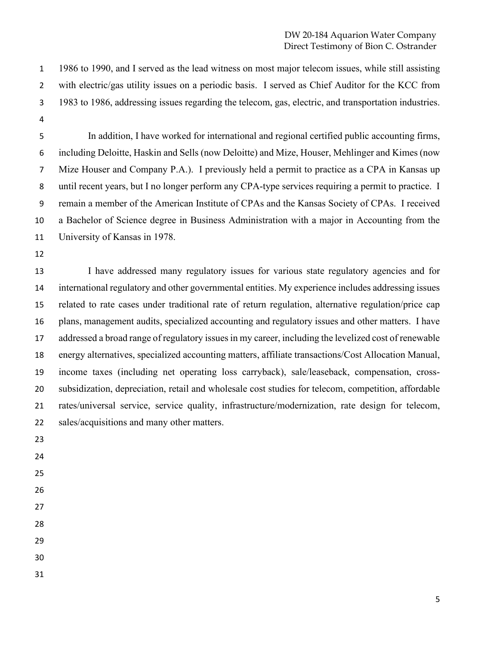1986 to 1990, and I served as the lead witness on most major telecom issues, while still assisting with electric/gas utility issues on a periodic basis. I served as Chief Auditor for the KCC from 1983 to 1986, addressing issues regarding the telecom, gas, electric, and transportation industries. 

- In addition, I have worked for international and regional certified public accounting firms, including Deloitte, Haskin and Sells (now Deloitte) and Mize, Houser, Mehlinger and Kimes (now Mize Houser and Company P.A.). I previously held a permit to practice as a CPA in Kansas up until recent years, but I no longer perform any CPA-type services requiring a permit to practice. I remain a member of the American Institute of CPAs and the Kansas Society of CPAs. I received a Bachelor of Science degree in Business Administration with a major in Accounting from the University of Kansas in 1978.
- 

 I have addressed many regulatory issues for various state regulatory agencies and for international regulatory and other governmental entities. My experience includes addressing issues related to rate cases under traditional rate of return regulation, alternative regulation/price cap plans, management audits, specialized accounting and regulatory issues and other matters. I have addressed a broad range of regulatory issues in my career, including the levelized cost of renewable energy alternatives, specialized accounting matters, affiliate transactions/Cost Allocation Manual, income taxes (including net operating loss carryback), sale/leaseback, compensation, cross- subsidization, depreciation, retail and wholesale cost studies for telecom, competition, affordable rates/universal service, service quality, infrastructure/modernization, rate design for telecom, sales/acquisitions and many other matters.

- 
- 
- 
- 
- 
- 
- 
- 
- 
-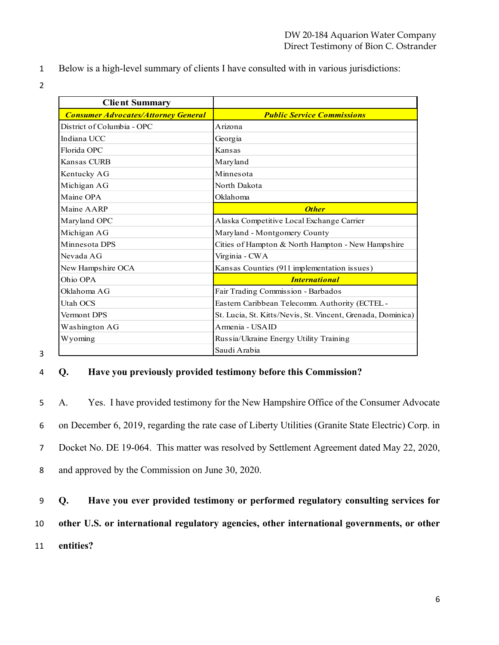- 1 Below is a high-level summary of clients I have consulted with in various jurisdictions:
- 2

| <b>Client Summary</b>                      |                                                             |
|--------------------------------------------|-------------------------------------------------------------|
| <b>Consumer Advocates/Attorney General</b> | <b>Public Service Commissions</b>                           |
| District of Columbia - OPC                 | Arizona                                                     |
| Indiana UCC                                | Georgia                                                     |
| Florida OPC                                | Kansas                                                      |
| Kansas CURB                                | Maryland                                                    |
| Kentucky AG                                | Minnesota                                                   |
| Michigan AG                                | North Dakota                                                |
| Maine OPA                                  | Oklahoma                                                    |
| Maine AARP                                 | <b>Other</b>                                                |
| Maryland OPC                               | Alaska Competitive Local Exchange Carrier                   |
| Michigan AG                                | Maryland - Montgomery County                                |
| Minnesota DPS                              | Cities of Hampton & North Hampton - New Hampshire           |
| Nevada AG                                  | Virginia - CWA                                              |
| New Hampshire OCA                          | Kansas Counties (911 implementation issues)                 |
| Ohio OPA                                   | <b>International</b>                                        |
| Oklahoma AG                                | Fair Trading Commission - Barbados                          |
| Utah OCS                                   | Eastern Caribbean Telecomm. Authority (ECTEL -              |
| Vermont DPS                                | St. Lucia, St. Kitts/Nevis, St. Vincent, Grenada, Dominica) |
| Washington AG                              | Armenia - USAID                                             |
| Wyoming                                    | Russia/Ukraine Energy Utility Training                      |
|                                            | Saudi Arabia                                                |

#### 4 **Q. Have you previously provided testimony before this Commission?**

 A. Yes. I have provided testimony for the New Hampshire Office of the Consumer Advocate on December 6, 2019, regarding the rate case of Liberty Utilities (Granite State Electric) Corp. in Docket No. DE 19-064. This matter was resolved by Settlement Agreement dated May 22, 2020, and approved by the Commission on June 30, 2020.

9 **Q. Have you ever provided testimony or performed regulatory consulting services for**  10 **other U.S. or international regulatory agencies, other international governments, or other**  11 **entities?**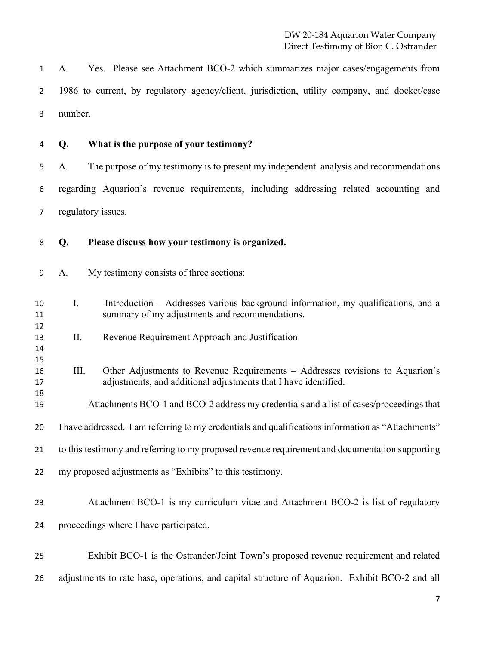A. Yes. Please see Attachment BCO-2 which summarizes major cases/engagements from 1986 to current, by regulatory agency/client, jurisdiction, utility company, and docket/case number.

 

#### **Q. What is the purpose of your testimony?**

 A. The purpose of my testimony is to present my independent analysis and recommendations regarding Aquarion's revenue requirements, including addressing related accounting and regulatory issues.

- **Q. Please discuss how your testimony is organized.**
- A. My testimony consists of three sections:
- I. Introduction Addresses various background information, my qualifications, and a summary of my adjustments and recommendations.
- II. Revenue Requirement Approach and Justification
- III. Other Adjustments to Revenue Requirements Addresses revisions to Aquarion's adjustments, and additional adjustments that I have identified.
- Attachments BCO-1 and BCO-2 address my credentials and a list of cases/proceedings that
- I have addressed. I am referring to my credentials and qualifications information as "Attachments"
- to this testimony and referring to my proposed revenue requirement and documentation supporting
- my proposed adjustments as "Exhibits" to this testimony.
- Attachment BCO-1 is my curriculum vitae and Attachment BCO-2 is list of regulatory proceedings where I have participated.
- Exhibit BCO-1 is the Ostrander/Joint Town's proposed revenue requirement and related adjustments to rate base, operations, and capital structure of Aquarion. Exhibit BCO-2 and all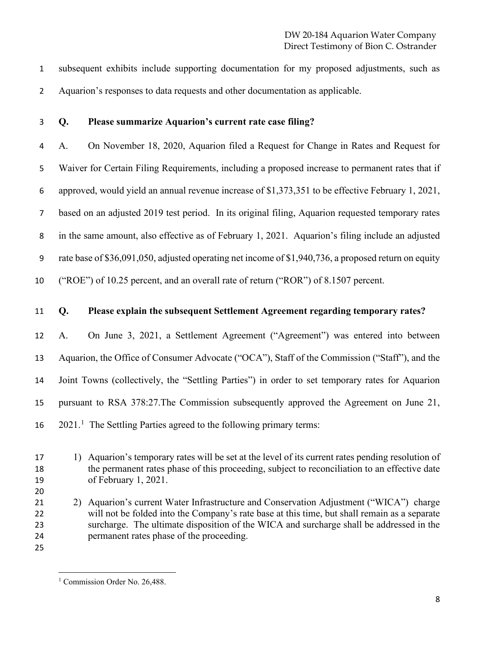subsequent exhibits include supporting documentation for my proposed adjustments, such as Aquarion's responses to data requests and other documentation as applicable.

#### **Q. Please summarize Aquarion's current rate case filing?**

 A. On November 18, 2020, Aquarion filed a Request for Change in Rates and Request for Waiver for Certain Filing Requirements, including a proposed increase to permanent rates that if approved, would yield an annual revenue increase of \$1,373,351 to be effective February 1, 2021, based on an adjusted 2019 test period. In its original filing, Aquarion requested temporary rates in the same amount, also effective as of February 1, 2021. Aquarion's filing include an adjusted rate base of \$36,091,050, adjusted operating net income of \$1,940,736, a proposed return on equity ("ROE") of 10.25 percent, and an overall rate of return ("ROR") of 8.1507 percent.

#### **Q. Please explain the subsequent Settlement Agreement regarding temporary rates?**

 A. On June 3, 2021, a Settlement Agreement ("Agreement") was entered into between Aquarion, the Office of Consumer Advocate ("OCA"), Staff of the Commission ("Staff"), and the Joint Towns (collectively, the "Settling Parties") in order to set temporary rates for Aquarion pursuant to RSA 378:27.The Commission subsequently approved the Agreement on June 21,  $16 \quad 2021$ .<sup>1</sup> The Settling Parties agreed to the following primary terms:

 1) Aquarion's temporary rates will be set at the level of its current rates pending resolution of the permanent rates phase of this proceeding, subject to reconciliation to an effective date of February 1, 2021.

- 2) Aquarion's current Water Infrastructure and Conservation Adjustment ("WICA") charge will not be folded into the Company's rate base at this time, but shall remain as a separate surcharge. The ultimate disposition of the WICA and surcharge shall be addressed in the permanent rates phase of the proceeding.
- <span id="page-7-0"></span>

<sup>&</sup>lt;sup>1</sup> Commission Order No. 26,488.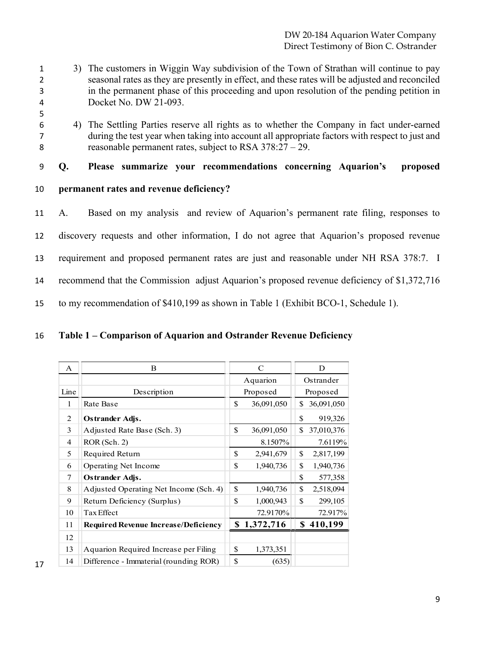- 3) The customers in Wiggin Way subdivision of the Town of Strathan will continue to pay seasonal rates as they are presently in effect, and these rates will be adjusted and reconciled in the permanent phase of this proceeding and upon resolution of the pending petition in Docket No. DW 21-093.
- 
- 
- 

 4) The Settling Parties reserve all rights as to whether the Company in fact under-earned during the test year when taking into account all appropriate factors with respect to just and reasonable permanent rates, subject to RSA 378:27 – 29.

**Q. Please summarize your recommendations concerning Aquarion's proposed**

**permanent rates and revenue deficiency?**

 A. Based on my analysis and review of Aquarion's permanent rate filing, responses to discovery requests and other information, I do not agree that Aquarion's proposed revenue requirement and proposed permanent rates are just and reasonable under NH RSA 378:7. I recommend that the Commission adjust Aquarion's proposed revenue deficiency of \$1,372,716 to my recommendation of \$410,199 as shown in Table 1 (Exhibit BCO-1, Schedule 1).

### **Table 1 – Comparison of Aquarion and Ostrander Revenue Deficiency**

| A    | B                                           | $\mathcal{C}$    | D                |
|------|---------------------------------------------|------------------|------------------|
|      |                                             | Aquarion         | Ostrander        |
| Line | Description                                 | Proposed         | Proposed         |
| 1    | Rate Base                                   | \$<br>36,091,050 | \$ 36,091,050    |
| 2    | Ostrander Adjs.                             |                  | \$<br>919,326    |
| 3    | Adjusted Rate Base (Sch. 3)                 | \$<br>36,091,050 | \$<br>37,010,376 |
| 4    | ROR(Sch. 2)                                 | 8.1507%          | 7.6119%          |
| 5    | Required Return                             | \$<br>2,941,679  | \$<br>2,817,199  |
| 6    | Operating Net Income                        | \$<br>1,940,736  | \$<br>1,940,736  |
| 7    | Ostrander Adjs.                             |                  | \$<br>577,358    |
| 8    | Adjusted Operating Net Income (Sch. 4)      | \$<br>1,940,736  | \$<br>2,518,094  |
| 9    | Return Deficiency (Surplus)                 | \$<br>1,000,943  | \$<br>299,105    |
| 10   | Tax Effect                                  | 72.9170%         | 72.917%          |
| 11   | <b>Required Revenue Increase/Deficiency</b> | \$1,372,716      | \$410,199        |
| 12   |                                             |                  |                  |
| 13   | Aquarion Required Increase per Filing       | \$<br>1,373,351  |                  |
| 14   | Difference - Immaterial (rounding ROR)      | \$<br>(635)      |                  |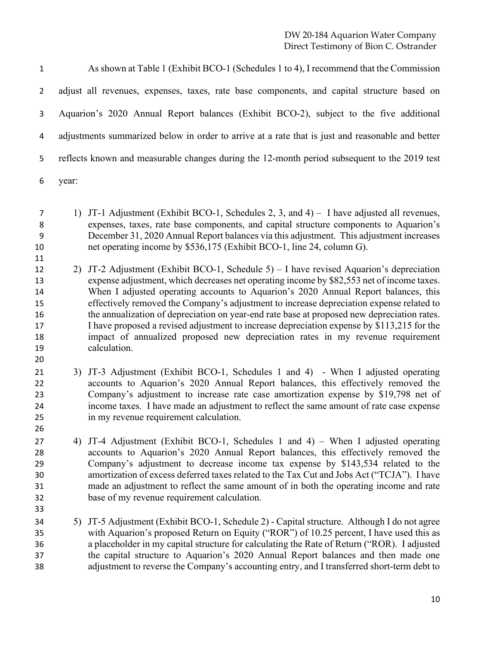| $\mathbf{1}$ | As shown at Table 1 (Exhibit BCO-1 (Schedules 1 to 4), I recommend that the Commission           |
|--------------|--------------------------------------------------------------------------------------------------|
|              | adjust all revenues, expenses, taxes, rate base components, and capital structure based on       |
| 3            | Aquarion's 2020 Annual Report balances (Exhibit BCO-2), subject to the five additional           |
| 4            | adjustments summarized below in order to arrive at a rate that is just and reasonable and better |
| 5.           | reflects known and measurable changes during the 12-month period subsequent to the 2019 test     |
| 6            | year:                                                                                            |

- 1) JT-1 Adjustment (Exhibit BCO-1, Schedules 2, 3, and 4) I have adjusted all revenues, expenses, taxes, rate base components, and capital structure components to Aquarion's December 31, 2020 Annual Report balances via this adjustment. This adjustment increases net operating income by \$536,175 (Exhibit BCO-1, line 24, column G).
- 
- 

- 2) JT-2 Adjustment (Exhibit BCO-1, Schedule 5) I have revised Aquarion's depreciation expense adjustment, which decreases net operating income by \$82,553 net of income taxes. When I adjusted operating accounts to Aquarion's 2020 Annual Report balances, this effectively removed the Company's adjustment to increase depreciation expense related to the annualization of depreciation on year-end rate base at proposed new depreciation rates. I have proposed a revised adjustment to increase depreciation expense by \$113,215 for the impact of annualized proposed new depreciation rates in my revenue requirement calculation.
- 3) JT-3 Adjustment (Exhibit BCO-1, Schedules 1 and 4) When I adjusted operating accounts to Aquarion's 2020 Annual Report balances, this effectively removed the Company's adjustment to increase rate case amortization expense by \$19,798 net of income taxes. I have made an adjustment to reflect the same amount of rate case expense in my revenue requirement calculation.
- 4) JT-4 Adjustment (Exhibit BCO-1, Schedules 1 and 4) When I adjusted operating accounts to Aquarion's 2020 Annual Report balances, this effectively removed the Company's adjustment to decrease income tax expense by \$143,534 related to the amortization of excess deferred taxes related to the Tax Cut and Jobs Act ("TCJA"). I have made an adjustment to reflect the same amount of in both the operating income and rate base of my revenue requirement calculation.
- 5) JT-5 Adjustment (Exhibit BCO-1, Schedule 2) Capital structure. Although I do not agree with Aquarion's proposed Return on Equity ("ROR") of 10.25 percent, I have used this as a placeholder in my capital structure for calculating the Rate of Return ("ROR). I adjusted the capital structure to Aquarion's 2020 Annual Report balances and then made one adjustment to reverse the Company's accounting entry, and I transferred short-term debt to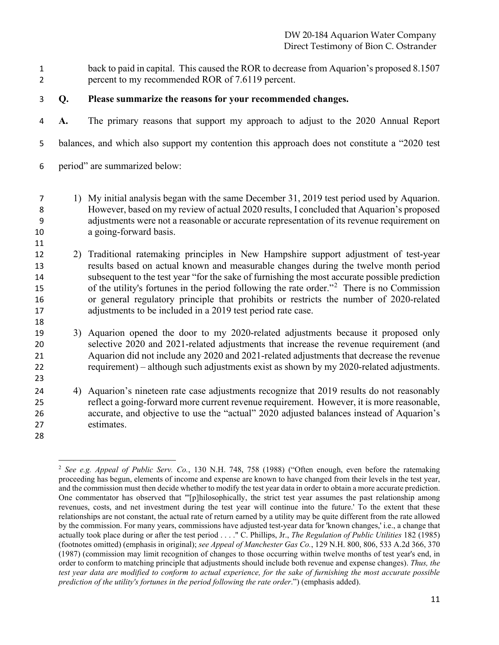- back to paid in capital. This caused the ROR to decrease from Aquarion's proposed 8.1507 percent to my recommended ROR of 7.6119 percent.
- **Q. Please summarize the reasons for your recommended changes.**
- **A.** The primary reasons that support my approach to adjust to the 2020 Annual Report
- balances, and which also support my contention this approach does not constitute a "2020 test
- period" are summarized below:
- 1) My initial analysis began with the same December 31, 2019 test period used by Aquarion. However, based on my review of actual 2020 results, I concluded that Aquarion's proposed adjustments were not a reasonable or accurate representation of its revenue requirement on a going-forward basis.
- 

- 2) Traditional ratemaking principles in New Hampshire support adjustment of test-year results based on actual known and measurable changes during the twelve month period subsequent to the test year "for the sake of furnishing the most accurate possible prediction 15 of the utility's fortunes in the period following the rate order.<sup> $2$ </sup> There is no Commission or general regulatory principle that prohibits or restricts the number of 2020-related 17 adjustments to be included in a 2019 test period rate case.
- 3) Aquarion opened the door to my 2020-related adjustments because it proposed only selective 2020 and 2021-related adjustments that increase the revenue requirement (and Aquarion did not include any 2020 and 2021-related adjustments that decrease the revenue requirement) – although such adjustments exist as shown by my 2020-related adjustments.
- 4) Aquarion's nineteen rate case adjustments recognize that 2019 results do not reasonably reflect a going-forward more current revenue requirement. However, it is more reasonable, accurate, and objective to use the "actual" 2020 adjusted balances instead of Aquarion's estimates.
- <span id="page-10-0"></span>

 *See e.g. Appeal of Public Serv. Co.*, 130 N.H. 748, 758 (1988) ("Often enough, even before the ratemaking proceeding has begun, elements of income and expense are known to have changed from their levels in the test year, and the commission must then decide whether to modify the test year data in order to obtain a more accurate prediction. One commentator has observed that "'[p]hilosophically, the strict test year assumes the past relationship among revenues, costs, and net investment during the test year will continue into the future.' To the extent that these relationships are not constant, the actual rate of return earned by a utility may be quite different from the rate allowed by the commission. For many years, commissions have adjusted test-year data for 'known changes,' i.e., a change that actually took place during or after the test period . . . ." C. Phillips, Jr., *The Regulation of Public Utilities* 182 (1985) (footnotes omitted) (emphasis in original); *see Appeal of Manchester Gas Co.*, 129 N.H. 800, 806, 533 A.2d 366, 370 (1987) (commission may limit recognition of changes to those occurring within twelve months of test year's end, in order to conform to matching principle that adjustments should include both revenue and expense changes). *Thus, the test year data are modified to conform to actual experience, for the sake of furnishing the most accurate possible prediction of the utility's fortunes in the period following the rate order*.") (emphasis added).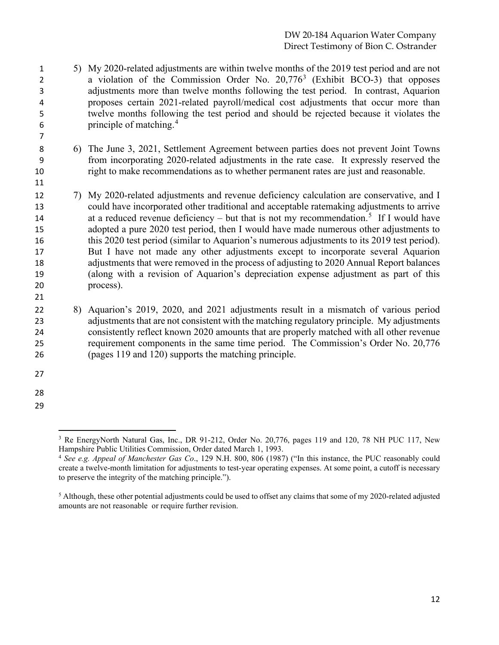- 5) My 2020-related adjustments are within twelve months of the 2019 test period and are not 2 a violation of the Commission Order No.  $20,776<sup>3</sup>$  $20,776<sup>3</sup>$  $20,776<sup>3</sup>$  (Exhibit BCO-3) that opposes adjustments more than twelve months following the test period. In contrast, Aquarion proposes certain 2021-related payroll/medical cost adjustments that occur more than twelve months following the test period and should be rejected because it violates the principle of matching. [4](#page-11-1)
- 6) The June 3, 2021, Settlement Agreement between parties does not prevent Joint Towns from incorporating 2020-related adjustments in the rate case. It expressly reserved the right to make recommendations as to whether permanent rates are just and reasonable.
- 7) My 2020-related adjustments and revenue deficiency calculation are conservative, and I could have incorporated other traditional and acceptable ratemaking adjustments to arrive at a reduced revenue deficiency – but that is not my recommendation.<sup>[5](#page-11-2)</sup> If I would have adopted a pure 2020 test period, then I would have made numerous other adjustments to this 2020 test period (similar to Aquarion's numerous adjustments to its 2019 test period). But I have not made any other adjustments except to incorporate several Aquarion adjustments that were removed in the process of adjusting to 2020 Annual Report balances (along with a revision of Aquarion's depreciation expense adjustment as part of this process).
- 8) Aquarion's 2019, 2020, and 2021 adjustments result in a mismatch of various period adjustments that are not consistent with the matching regulatory principle. My adjustments consistently reflect known 2020 amounts that are properly matched with all other revenue requirement components in the same time period. The Commission's Order No. 20,776 (pages 119 and 120) supports the matching principle.
- 

- 
- <span id="page-11-0"></span>

<sup>&</sup>lt;sup>3</sup> Re EnergyNorth Natural Gas, Inc., DR 91-212, Order No. 20,776, pages 119 and 120, 78 NH PUC 117, New Hampshire Public Utilities Commission, Order dated March 1, 1993.

<span id="page-11-1"></span> *See e.g. Appeal of Manchester Gas Co*., 129 N.H. 800, 806 (1987) ("In this instance, the PUC reasonably could create a twelve-month limitation for adjustments to test-year operating expenses. At some point, a cutoff is necessary to preserve the integrity of the matching principle.").

<span id="page-11-2"></span><sup>&</sup>lt;sup>5</sup> Although, these other potential adjustments could be used to offset any claims that some of my 2020-related adjusted amounts are not reasonable or require further revision.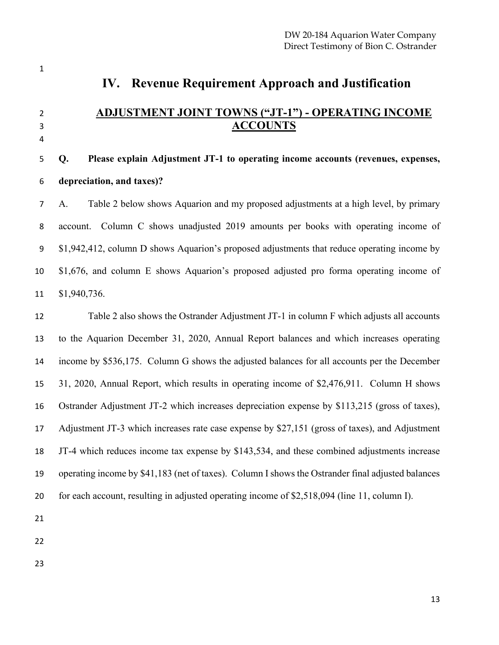# **IV. Revenue Requirement Approach and Justification**

# **ADJUSTMENT JOINT TOWNS ("JT-1") - OPERATING INCOME ACCOUNTS**

#### 

# **Q. Please explain Adjustment JT-1 to operating income accounts (revenues, expenses, depreciation, and taxes)?**

 A. Table 2 below shows Aquarion and my proposed adjustments at a high level, by primary account. Column C shows unadjusted 2019 amounts per books with operating income of \$1,942,412, column D shows Aquarion's proposed adjustments that reduce operating income by \$1,676, and column E shows Aquarion's proposed adjusted pro forma operating income of \$1,940,736.

 Table 2 also shows the Ostrander Adjustment JT-1 in column F which adjusts all accounts to the Aquarion December 31, 2020, Annual Report balances and which increases operating income by \$536,175. Column G shows the adjusted balances for all accounts per the December 31, 2020, Annual Report, which results in operating income of \$2,476,911. Column H shows Ostrander Adjustment JT-2 which increases depreciation expense by \$113,215 (gross of taxes), Adjustment JT-3 which increases rate case expense by \$27,151 (gross of taxes), and Adjustment JT-4 which reduces income tax expense by \$143,534, and these combined adjustments increase operating income by \$41,183 (net of taxes). Column I shows the Ostrander final adjusted balances for each account, resulting in adjusted operating income of \$2,518,094 (line 11, column I).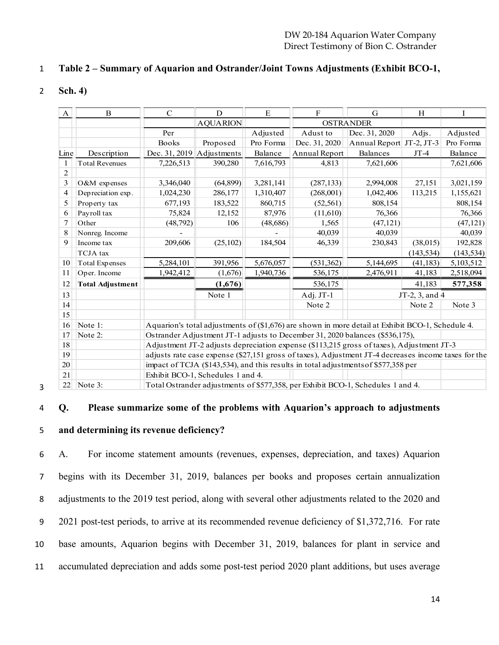#### **Table 2 – Summary of Aquarion and Ostrander/Joint Towns Adjustments (Exhibit BCO-1,**

**Sch. 4)**

| A              | $\overline{B}$                                                                          | $\mathcal{C}$                                                                                       | D                                 | E         | F             | G                                                                               | H              | I          |
|----------------|-----------------------------------------------------------------------------------------|-----------------------------------------------------------------------------------------------------|-----------------------------------|-----------|---------------|---------------------------------------------------------------------------------|----------------|------------|
|                |                                                                                         |                                                                                                     | <b>AQUARION</b>                   |           |               | <b>OSTRANDER</b>                                                                |                |            |
|                |                                                                                         | Per                                                                                                 |                                   | Adjusted  | Adust to      | Dec. 31, 2020                                                                   | Adjs.          | Adjusted   |
|                |                                                                                         | <b>Books</b>                                                                                        | Proposed                          | Pro Forma | Dec. 31, 2020 | Annual Report JT-2, JT-3                                                        |                | Pro Forma  |
| Line           | Description                                                                             | Dec. 31, 2019                                                                                       | Adjustments                       | Balance   | Annual Report | Balances                                                                        | $JT-4$         | Balance    |
| $\mathbf{1}$   | <b>Total Revenues</b>                                                                   | 7,226,513                                                                                           | 390,280                           | 7,616,793 | 4,813         | 7,621,606                                                                       |                | 7,621,606  |
| $\overline{c}$ |                                                                                         |                                                                                                     |                                   |           |               |                                                                                 |                |            |
| $\mathfrak{Z}$ | O&M expenses                                                                            | 3,346,040                                                                                           | (64, 899)                         | 3,281,141 | (287, 133)    | 2,994,008                                                                       | 27,151         | 3,021,159  |
| 4              | Depreciation exp.                                                                       | 1,024,230                                                                                           | 286,177                           | 1,310,407 | (268,001)     | 1,042,406                                                                       | 113,215        | 1,155,621  |
| 5              | Property tax                                                                            | 677,193                                                                                             | 183,522                           | 860,715   | (52, 561)     | 808,154                                                                         |                | 808,154    |
| 6              | Payroll tax                                                                             | 75,824                                                                                              | 12,152                            | 87,976    | (11,610)      | 76,366                                                                          |                | 76,366     |
| 7              | Other                                                                                   | (48,792)                                                                                            | 106                               | (48, 686) | 1,565         | (47, 121)                                                                       |                | (47, 121)  |
| 8              | Nonreg. Income                                                                          |                                                                                                     |                                   |           | 40,039        | 40,039                                                                          |                | 40,039     |
| 9              | Income tax                                                                              | 209,606                                                                                             | (25,102)                          | 184,504   | 46,339        | 230,843                                                                         | (38,015)       | 192,828    |
|                | TCJA tax                                                                                |                                                                                                     |                                   |           |               |                                                                                 | (143, 534)     | (143, 534) |
| 10             | Total Expenses                                                                          | 5,284,101                                                                                           | 391,956                           | 5,676,057 | (531, 362)    | 5,144,695                                                                       | (41, 183)      | 5,103,512  |
| 11             | Oper. Income                                                                            | 1,942,412                                                                                           | (1,676)                           | 1,940,736 | 536,175       | 2,476,911                                                                       | 41,183         | 2,518,094  |
| 12             | <b>Total Adjustment</b>                                                                 |                                                                                                     | (1,676)                           |           | 536,175       |                                                                                 | 41,183         | 577,358    |
| 13             |                                                                                         |                                                                                                     | Note 1                            |           | Adj. JT-1     |                                                                                 | JT-2, 3, and 4 |            |
| 14             |                                                                                         |                                                                                                     |                                   |           | Note 2        |                                                                                 | Note 2         | Note 3     |
| 15             |                                                                                         |                                                                                                     |                                   |           |               |                                                                                 |                |            |
| 16             | Note 1:                                                                                 | Aquarion's total adjustments of (\$1,676) are shown in more detail at Exhibit BCO-1, Schedule 4.    |                                   |           |               |                                                                                 |                |            |
| 17             | Ostrander Adjustment JT-1 adjusts to December 31, 2020 balances (\$536,175),<br>Note 2: |                                                                                                     |                                   |           |               |                                                                                 |                |            |
| 18             |                                                                                         | Adjustment JT-2 adjusts depreciation expense (\$113,215 gross of taxes), Adjustment JT-3            |                                   |           |               |                                                                                 |                |            |
| 19             |                                                                                         | adjusts rate case expense (\$27,151 gross of taxes), Adjustment JT-4 decreases income taxes for the |                                   |           |               |                                                                                 |                |            |
| 20             |                                                                                         | impact of TCJA (\$143,534), and this results in total adjustments of \$577,358 per                  |                                   |           |               |                                                                                 |                |            |
| 21             |                                                                                         |                                                                                                     | Exhibit BCO-1, Schedules 1 and 4. |           |               |                                                                                 |                |            |
| 22             | Note 3:                                                                                 |                                                                                                     |                                   |           |               | Total Ostrander adjustments of \$577,358, per Exhibit BCO-1, Schedules 1 and 4. |                |            |

**Q. Please summarize some of the problems with Aquarion's approach to adjustments** 

#### **and determining its revenue deficiency?**

 A. For income statement amounts (revenues, expenses, depreciation, and taxes) Aquarion begins with its December 31, 2019, balances per books and proposes certain annualization 8 adjustments to the 2019 test period, along with several other adjustments related to the 2020 and 2021 post-test periods, to arrive at its recommended revenue deficiency of \$1,372,716. For rate base amounts, Aquarion begins with December 31, 2019, balances for plant in service and accumulated depreciation and adds some post-test period 2020 plant additions, but uses average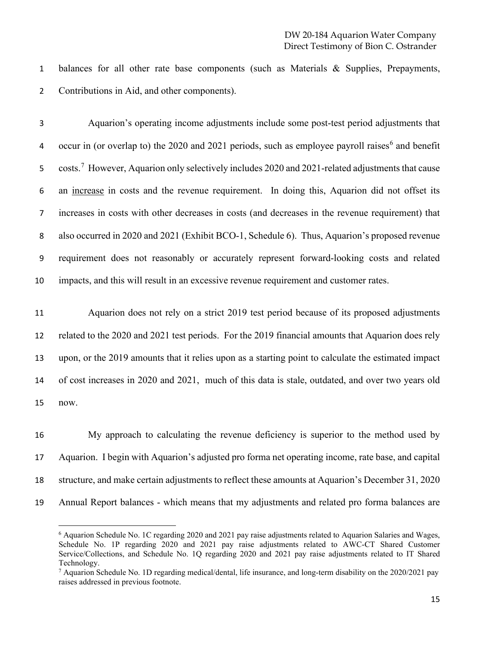balances for all other rate base components (such as Materials & Supplies, Prepayments, Contributions in Aid, and other components).

 Aquarion's operating income adjustments include some post-test period adjustments that 4 occur in (or overlap to) the 2020 and 2021 periods, such as employee payroll raises<sup>[6](#page-14-0)</sup> and benefit 5 costs.<sup>[7](#page-14-1)</sup> However, Aquarion only selectively includes 2020 and 2021-related adjustments that cause an increase in costs and the revenue requirement. In doing this, Aquarion did not offset its increases in costs with other decreases in costs (and decreases in the revenue requirement) that also occurred in 2020 and 2021 (Exhibit BCO-1, Schedule 6). Thus, Aquarion's proposed revenue requirement does not reasonably or accurately represent forward-looking costs and related impacts, and this will result in an excessive revenue requirement and customer rates.

 Aquarion does not rely on a strict 2019 test period because of its proposed adjustments related to the 2020 and 2021 test periods. For the 2019 financial amounts that Aquarion does rely upon, or the 2019 amounts that it relies upon as a starting point to calculate the estimated impact of cost increases in 2020 and 2021, much of this data is stale, outdated, and over two years old now.

 My approach to calculating the revenue deficiency is superior to the method used by Aquarion. I begin with Aquarion's adjusted pro forma net operating income, rate base, and capital structure, and make certain adjustments to reflect these amounts at Aquarion's December 31, 2020 Annual Report balances - which means that my adjustments and related pro forma balances are

<span id="page-14-0"></span> Aquarion Schedule No. 1C regarding 2020 and 2021 pay raise adjustments related to Aquarion Salaries and Wages, Schedule No. 1P regarding 2020 and 2021 pay raise adjustments related to AWC-CT Shared Customer Service/Collections, and Schedule No. 1Q regarding 2020 and 2021 pay raise adjustments related to IT Shared Technology.

<span id="page-14-1"></span> $^7$  Aquarion Schedule No. 1D regarding medical/dental, life insurance, and long-term disability on the 2020/2021 pay raises addressed in previous footnote.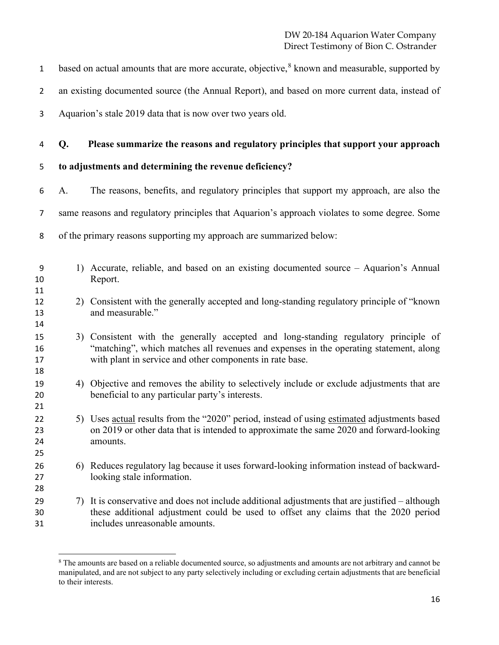| $\mathbf{1}$         |    | based on actual amounts that are more accurate, objective, <sup>8</sup> known and measurable, supported by                                                                                                                               |
|----------------------|----|------------------------------------------------------------------------------------------------------------------------------------------------------------------------------------------------------------------------------------------|
| $\overline{2}$       |    | an existing documented source (the Annual Report), and based on more current data, instead of                                                                                                                                            |
| 3                    |    | Aquarion's stale 2019 data that is now over two years old.                                                                                                                                                                               |
| 4                    | Q. | Please summarize the reasons and regulatory principles that support your approach                                                                                                                                                        |
| 5                    |    | to adjustments and determining the revenue deficiency?                                                                                                                                                                                   |
| 6                    | A. | The reasons, benefits, and regulatory principles that support my approach, are also the                                                                                                                                                  |
| 7                    |    | same reasons and regulatory principles that Aquarion's approach violates to some degree. Some                                                                                                                                            |
| 8                    |    | of the primary reasons supporting my approach are summarized below:                                                                                                                                                                      |
| 9<br>10<br>11        |    | 1) Accurate, reliable, and based on an existing documented source – Aquarion's Annual<br>Report.                                                                                                                                         |
| 12<br>13<br>14       |    | 2) Consistent with the generally accepted and long-standing regulatory principle of "known"<br>and measurable."                                                                                                                          |
| 15<br>16<br>17<br>18 |    | 3) Consistent with the generally accepted and long-standing regulatory principle of<br>"matching", which matches all revenues and expenses in the operating statement, along<br>with plant in service and other components in rate base. |
| 19<br>20<br>21       |    | 4) Objective and removes the ability to selectively include or exclude adjustments that are<br>beneficial to any particular party's interests.                                                                                           |
| 22<br>23<br>24<br>25 |    | 5) Uses actual results from the "2020" period, instead of using estimated adjustments based<br>on 2019 or other data that is intended to approximate the same 2020 and forward-looking<br>amounts.                                       |
| 26<br>27<br>28       |    | 6) Reduces regulatory lag because it uses forward-looking information instead of backward-<br>looking stale information.                                                                                                                 |
| 29<br>30<br>31       | 7) | It is conservative and does not include additional adjustments that are justified - although<br>these additional adjustment could be used to offset any claims that the 2020 period<br>includes unreasonable amounts.                    |

<span id="page-15-0"></span> The amounts are based on a reliable documented source, so adjustments and amounts are not arbitrary and cannot be manipulated, and are not subject to any party selectively including or excluding certain adjustments that are beneficial to their interests.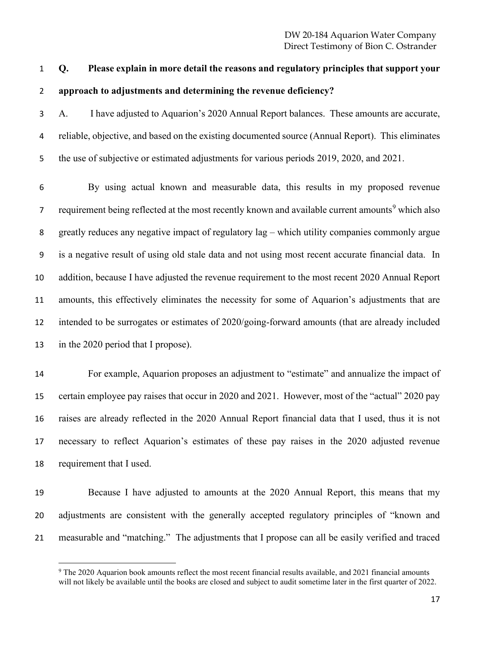# **Q. Please explain in more detail the reasons and regulatory principles that support your approach to adjustments and determining the revenue deficiency?**

 A. I have adjusted to Aquarion's 2020 Annual Report balances. These amounts are accurate, reliable, objective, and based on the existing documented source (Annual Report). This eliminates 5 the use of subjective or estimated adjustments for various periods 2019, 2020, and 2021.

 By using actual known and measurable data, this results in my proposed revenue 7 requirement being reflected at the most recently known and available current amounts<sup>[9](#page-16-0)</sup> which also greatly reduces any negative impact of regulatory lag – which utility companies commonly argue is a negative result of using old stale data and not using most recent accurate financial data. In addition, because I have adjusted the revenue requirement to the most recent 2020 Annual Report amounts, this effectively eliminates the necessity for some of Aquarion's adjustments that are intended to be surrogates or estimates of 2020/going-forward amounts (that are already included in the 2020 period that I propose).

 For example, Aquarion proposes an adjustment to "estimate" and annualize the impact of certain employee pay raises that occur in 2020 and 2021. However, most of the "actual" 2020 pay raises are already reflected in the 2020 Annual Report financial data that I used, thus it is not necessary to reflect Aquarion's estimates of these pay raises in the 2020 adjusted revenue requirement that I used.

 Because I have adjusted to amounts at the 2020 Annual Report, this means that my adjustments are consistent with the generally accepted regulatory principles of "known and measurable and "matching." The adjustments that I propose can all be easily verified and traced

<span id="page-16-0"></span><sup>&</sup>lt;sup>9</sup> The 2020 Aquarion book amounts reflect the most recent financial results available, and 2021 financial amounts will not likely be available until the books are closed and subject to audit sometime later in the first quarter of 2022.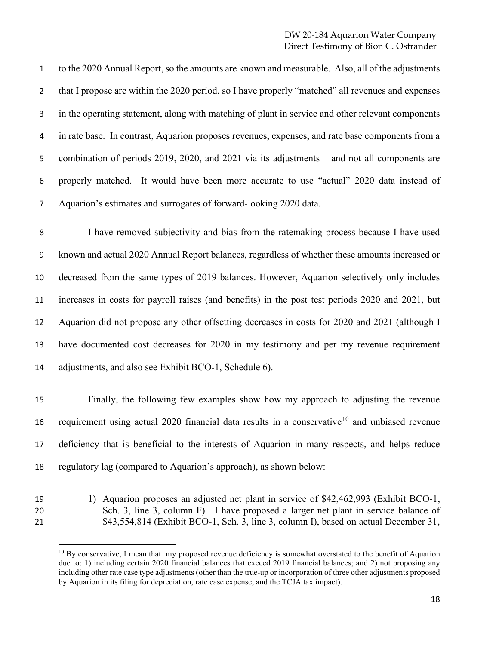to the 2020 Annual Report, so the amounts are known and measurable. Also, all of the adjustments 2 that I propose are within the 2020 period, so I have properly "matched" all revenues and expenses in the operating statement, along with matching of plant in service and other relevant components in rate base. In contrast, Aquarion proposes revenues, expenses, and rate base components from a 5 combination of periods 2019, 2020, and 2021 via its adjustments – and not all components are properly matched. It would have been more accurate to use "actual" 2020 data instead of Aquarion's estimates and surrogates of forward-looking 2020 data.

 I have removed subjectivity and bias from the ratemaking process because I have used known and actual 2020 Annual Report balances, regardless of whether these amounts increased or decreased from the same types of 2019 balances. However, Aquarion selectively only includes increases in costs for payroll raises (and benefits) in the post test periods 2020 and 2021, but Aquarion did not propose any other offsetting decreases in costs for 2020 and 2021 (although I have documented cost decreases for 2020 in my testimony and per my revenue requirement adjustments, and also see Exhibit BCO-1, Schedule 6).

 Finally, the following few examples show how my approach to adjusting the revenue 16 requirement using actual 2020 financial data results in a conservative<sup>[10](#page-17-0)</sup> and unbiased revenue deficiency that is beneficial to the interests of Aquarion in many respects, and helps reduce regulatory lag (compared to Aquarion's approach), as shown below:

- 
- <span id="page-17-0"></span>

 1) Aquarion proposes an adjusted net plant in service of \$42,462,993 (Exhibit BCO-1, Sch. 3, line 3, column F). I have proposed a larger net plant in service balance of \$43,554,814 (Exhibit BCO-1, Sch. 3, line 3, column I), based on actual December 31,

<sup>&</sup>lt;sup>10</sup> By conservative, I mean that my proposed revenue deficiency is somewhat overstated to the benefit of Aquarion due to: 1) including certain 2020 financial balances that exceed 2019 financial balances; and 2) not proposing any including other rate case type adjustments (other than the true-up or incorporation of three other adjustments proposed by Aquarion in its filing for depreciation, rate case expense, and the TCJA tax impact).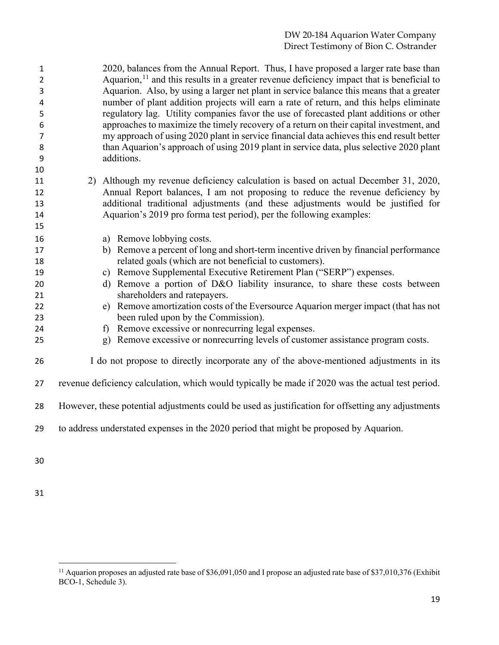2020, balances from the Annual Report. Thus, I have proposed a larger rate base than  $A$ quarion,<sup>[11](#page-18-0)</sup> and this results in a greater revenue deficiency impact that is beneficial to Aquarion. Also, by using a larger net plant in service balance this means that a greater number of plant addition projects will earn a rate of return, and this helps eliminate regulatory lag. Utility companies favor the use of forecasted plant additions or other approaches to maximize the timely recovery of a return on their capital investment, and my approach of using 2020 plant in service financial data achieves this end result better 8 than Aquarion's approach of using 2019 plant in service data, plus selective 2020 plant additions.

- 2) Although my revenue deficiency calculation is based on actual December 31, 2020, Annual Report balances, I am not proposing to reduce the revenue deficiency by additional traditional adjustments (and these adjustments would be justified for Aquarion's 2019 pro forma test period), per the following examples:
- a) Remove lobbying costs.
- b) Remove a percent of long and short-term incentive driven by financial performance related goals (which are not beneficial to customers).
- c) Remove Supplemental Executive Retirement Plan ("SERP") expenses.
- d) Remove a portion of D&O liability insurance, to share these costs between shareholders and ratepayers.
- e) Remove amortization costs of the Eversource Aquarion merger impact (that has not been ruled upon by the Commission).
- f) Remove excessive or nonrecurring legal expenses.
- g) Remove excessive or nonrecurring levels of customer assistance program costs.
- I do not propose to directly incorporate any of the above-mentioned adjustments in its
- revenue deficiency calculation, which would typically be made if 2020 was the actual test period.
- However, these potential adjustments could be used as justification for offsetting any adjustments
- to address understated expenses in the 2020 period that might be proposed by Aquarion.

<span id="page-18-0"></span><sup>&</sup>lt;sup>11</sup> Aquarion proposes an adjusted rate base of \$36,091,050 and I propose an adjusted rate base of \$37,010,376 (Exhibit BCO-1, Schedule 3).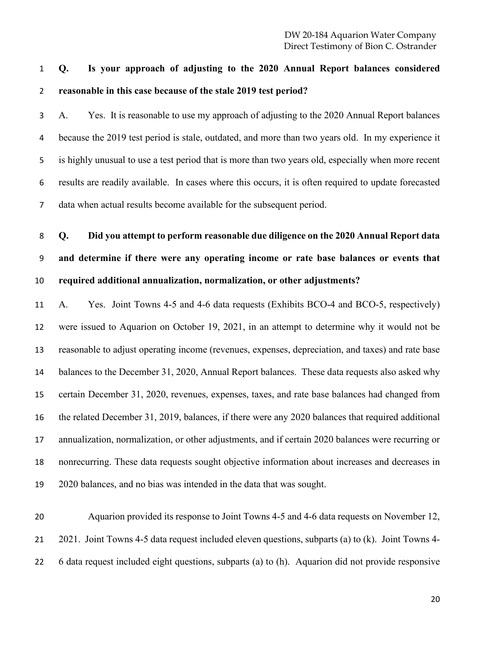**Q. Is your approach of adjusting to the 2020 Annual Report balances considered reasonable in this case because of the stale 2019 test period?**

 A. Yes. It is reasonable to use my approach of adjusting to the 2020 Annual Report balances because the 2019 test period is stale, outdated, and more than two years old. In my experience it is highly unusual to use a test period that is more than two years old, especially when more recent results are readily available. In cases where this occurs, it is often required to update forecasted data when actual results become available for the subsequent period.

 **Q. Did you attempt to perform reasonable due diligence on the 2020 Annual Report data and determine if there were any operating income or rate base balances or events that required additional annualization, normalization, or other adjustments?**

 A. Yes. Joint Towns 4-5 and 4-6 data requests (Exhibits BCO-4 and BCO-5, respectively) were issued to Aquarion on October 19, 2021, in an attempt to determine why it would not be reasonable to adjust operating income (revenues, expenses, depreciation, and taxes) and rate base balances to the December 31, 2020, Annual Report balances. These data requests also asked why certain December 31, 2020, revenues, expenses, taxes, and rate base balances had changed from the related December 31, 2019, balances, if there were any 2020 balances that required additional annualization, normalization, or other adjustments, and if certain 2020 balances were recurring or nonrecurring. These data requests sought objective information about increases and decreases in 2020 balances, and no bias was intended in the data that was sought.

 Aquarion provided its response to Joint Towns 4-5 and 4-6 data requests on November 12, 2021. Joint Towns 4-5 data request included eleven questions, subparts (a) to (k). Joint Towns 4- 6 data request included eight questions, subparts (a) to (h). Aquarion did not provide responsive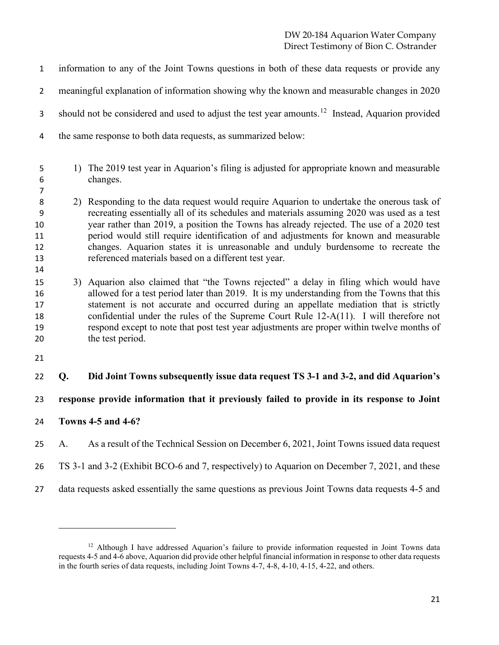DW 20-184 Aquarion Water Company Direct Testimony of Bion C. Ostrander

 information to any of the Joint Towns questions in both of these data requests or provide any meaningful explanation of information showing why the known and measurable changes in 2020 3 should not be considered and used to adjust the test year amounts.<sup>[12](#page-20-0)</sup> Instead, Aquarion provided the same response to both data requests, as summarized below: 1) The 2019 test year in Aquarion's filing is adjusted for appropriate known and measurable changes.

- 2) Responding to the data request would require Aquarion to undertake the onerous task of recreating essentially all of its schedules and materials assuming 2020 was used as a test year rather than 2019, a position the Towns has already rejected. The use of a 2020 test period would still require identification of and adjustments for known and measurable changes. Aquarion states it is unreasonable and unduly burdensome to recreate the referenced materials based on a different test year.
- 3) Aquarion also claimed that "the Towns rejected" a delay in filing which would have allowed for a test period later than 2019. It is my understanding from the Towns that this statement is not accurate and occurred during an appellate mediation that is strictly confidential under the rules of the Supreme Court Rule 12-A(11). I will therefore not respond except to note that post test year adjustments are proper within twelve months of the test period.
- 

**Q. Did Joint Towns subsequently issue data request TS 3-1 and 3-2, and did Aquarion's** 

**response provide information that it previously failed to provide in its response to Joint** 

- **Towns 4-5 and 4-6?**
- A. As a result of the Technical Session on December 6, 2021, Joint Towns issued data request
- TS 3-1 and 3-2 (Exhibit BCO-6 and 7, respectively) to Aquarion on December 7, 2021, and these
- data requests asked essentially the same questions as previous Joint Towns data requests 4-5 and

<span id="page-20-0"></span><sup>&</sup>lt;sup>12</sup> Although I have addressed Aquarion's failure to provide information requested in Joint Towns data requests 4-5 and 4-6 above, Aquarion did provide other helpful financial information in response to other data requests in the fourth series of data requests, including Joint Towns 4-7, 4-8, 4-10, 4-15, 4-22, and others.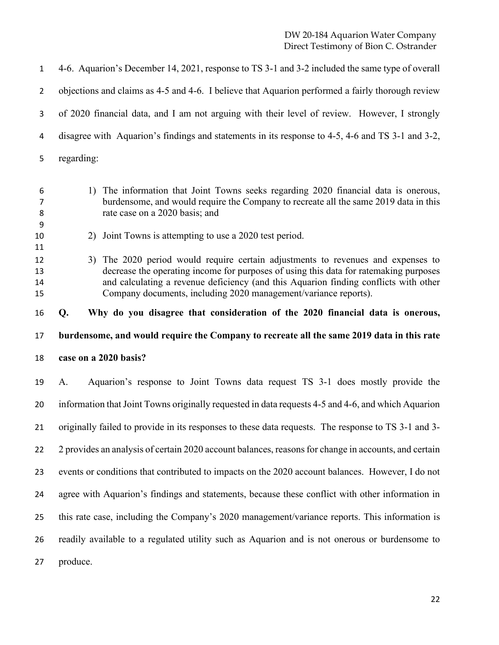| $\mathbf{1}$         | 4-6. Aquarion's December 14, 2021, response to TS 3-1 and 3-2 included the same type of overall                                                                                                                                                                                                                                      |
|----------------------|--------------------------------------------------------------------------------------------------------------------------------------------------------------------------------------------------------------------------------------------------------------------------------------------------------------------------------------|
| $\overline{2}$       | objections and claims as 4-5 and 4-6. I believe that Aquarion performed a fairly thorough review                                                                                                                                                                                                                                     |
| 3                    | of 2020 financial data, and I am not arguing with their level of review. However, I strongly                                                                                                                                                                                                                                         |
| 4                    | disagree with Aquarion's findings and statements in its response to 4-5, 4-6 and TS 3-1 and 3-2,                                                                                                                                                                                                                                     |
| 5                    | regarding:                                                                                                                                                                                                                                                                                                                           |
| 6<br>7<br>8<br>9     | 1) The information that Joint Towns seeks regarding 2020 financial data is onerous,<br>burdensome, and would require the Company to recreate all the same 2019 data in this<br>rate case on a 2020 basis; and                                                                                                                        |
| 10<br>11             | 2) Joint Towns is attempting to use a 2020 test period.                                                                                                                                                                                                                                                                              |
| 12<br>13<br>14<br>15 | 3) The 2020 period would require certain adjustments to revenues and expenses to<br>decrease the operating income for purposes of using this data for ratemaking purposes<br>and calculating a revenue deficiency (and this Aquarion finding conflicts with other<br>Company documents, including 2020 management/variance reports). |
| 16                   | Why do you disagree that consideration of the 2020 financial data is onerous,<br>Q.                                                                                                                                                                                                                                                  |
| 17                   | burdensome, and would require the Company to recreate all the same 2019 data in this rate                                                                                                                                                                                                                                            |
| 18                   | case on a 2020 basis?                                                                                                                                                                                                                                                                                                                |
| 19                   | Aquarion's response to Joint Towns data request TS 3-1 does mostly provide the<br>A.                                                                                                                                                                                                                                                 |
| 20                   | information that Joint Towns originally requested in data requests 4-5 and 4-6, and which Aquarion                                                                                                                                                                                                                                   |
| 21                   | originally failed to provide in its responses to these data requests. The response to TS 3-1 and 3-                                                                                                                                                                                                                                  |
| 22                   | 2 provides an analysis of certain 2020 account balances, reasons for change in accounts, and certain                                                                                                                                                                                                                                 |
| 23                   | events or conditions that contributed to impacts on the 2020 account balances. However, I do not                                                                                                                                                                                                                                     |
| 24                   | agree with Aquarion's findings and statements, because these conflict with other information in                                                                                                                                                                                                                                      |
| 25                   | this rate case, including the Company's 2020 management/variance reports. This information is                                                                                                                                                                                                                                        |
| 26                   | readily available to a regulated utility such as Aquarion and is not onerous or burdensome to                                                                                                                                                                                                                                        |
|                      |                                                                                                                                                                                                                                                                                                                                      |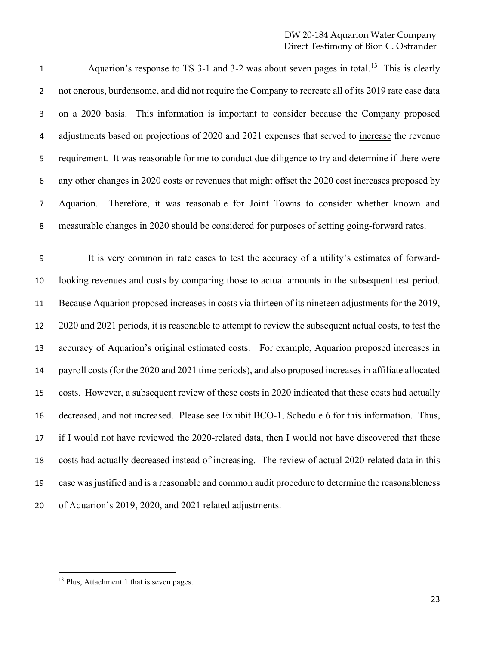1 Aquarion's response to TS 3-1 and 3-2 was about seven pages in total.<sup>[13](#page-22-0)</sup> This is clearly 2 not onerous, burdensome, and did not require the Company to recreate all of its 2019 rate case data on a 2020 basis. This information is important to consider because the Company proposed adjustments based on projections of 2020 and 2021 expenses that served to increase the revenue requirement. It was reasonable for me to conduct due diligence to try and determine if there were any other changes in 2020 costs or revenues that might offset the 2020 cost increases proposed by Aquarion. Therefore, it was reasonable for Joint Towns to consider whether known and measurable changes in 2020 should be considered for purposes of setting going-forward rates.

 It is very common in rate cases to test the accuracy of a utility's estimates of forward- looking revenues and costs by comparing those to actual amounts in the subsequent test period. Because Aquarion proposed increases in costs via thirteen of its nineteen adjustments for the 2019, 2020 and 2021 periods, it is reasonable to attempt to review the subsequent actual costs, to test the accuracy of Aquarion's original estimated costs. For example, Aquarion proposed increases in payroll costs (for the 2020 and 2021 time periods), and also proposed increases in affiliate allocated costs. However, a subsequent review of these costs in 2020 indicated that these costs had actually decreased, and not increased. Please see Exhibit BCO-1, Schedule 6 for this information. Thus, if I would not have reviewed the 2020-related data, then I would not have discovered that these costs had actually decreased instead of increasing. The review of actual 2020-related data in this case wasjustified and is a reasonable and common audit procedure to determine the reasonableness of Aquarion's 2019, 2020, and 2021 related adjustments.

<span id="page-22-0"></span><sup>&</sup>lt;sup>13</sup> Plus, Attachment 1 that is seven pages.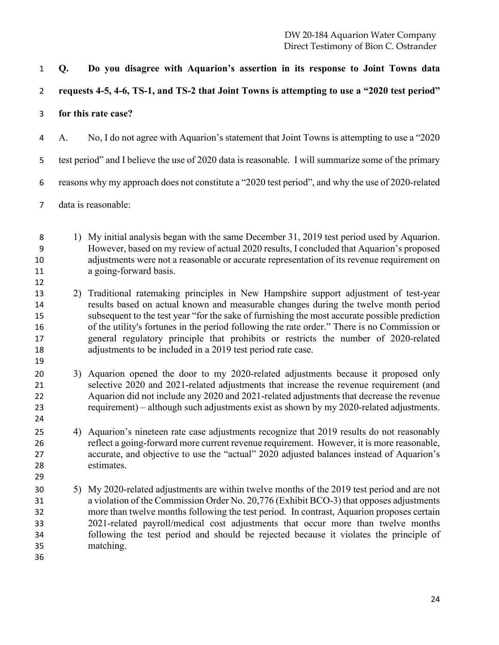**Q. Do you disagree with Aquarion's assertion in its response to Joint Towns data** 

**requests 4-5, 4-6, TS-1, and TS-2 that Joint Towns is attempting to use a "2020 test period"** 

**for this rate case?** 

A. No, I do not agree with Aquarion's statement that Joint Towns is attempting to use a "2020

test period" and I believe the use of 2020 data is reasonable. I will summarize some of the primary

reasons why my approach does not constitute a "2020 test period", and why the use of 2020-related

data is reasonable:

 1) My initial analysis began with the same December 31, 2019 test period used by Aquarion. However, based on my review of actual 2020 results, I concluded that Aquarion's proposed adjustments were not a reasonable or accurate representation of its revenue requirement on a going-forward basis.

- 2) Traditional ratemaking principles in New Hampshire support adjustment of test-year results based on actual known and measurable changes during the twelve month period subsequent to the test year "for the sake of furnishing the most accurate possible prediction of the utility's fortunes in the period following the rate order." There is no Commission or general regulatory principle that prohibits or restricts the number of 2020-related adjustments to be included in a 2019 test period rate case.
- 3) Aquarion opened the door to my 2020-related adjustments because it proposed only selective 2020 and 2021-related adjustments that increase the revenue requirement (and Aquarion did not include any 2020 and 2021-related adjustments that decrease the revenue requirement) – although such adjustments exist as shown by my 2020-related adjustments.
- 4) Aquarion's nineteen rate case adjustments recognize that 2019 results do not reasonably reflect a going-forward more current revenue requirement. However, it is more reasonable, accurate, and objective to use the "actual" 2020 adjusted balances instead of Aquarion's estimates.
- 5) My 2020-related adjustments are within twelve months of the 2019 test period and are not a violation of the Commission Order No. 20,776 (Exhibit BCO-3) that opposes adjustments more than twelve months following the test period. In contrast, Aquarion proposes certain 2021-related payroll/medical cost adjustments that occur more than twelve months following the test period and should be rejected because it violates the principle of matching.
-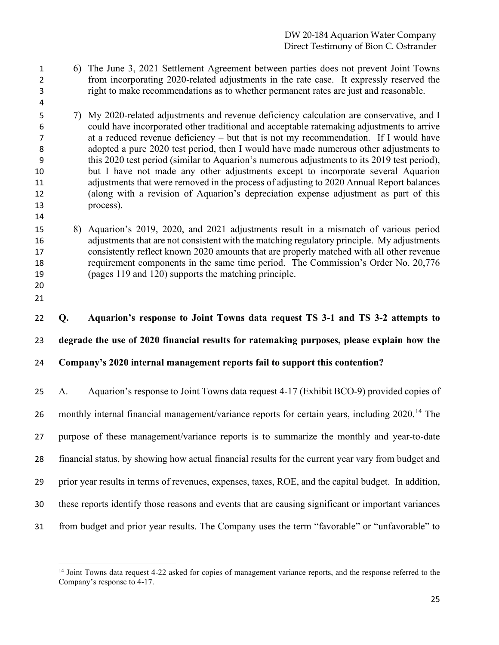- 6) The June 3, 2021 Settlement Agreement between parties does not prevent Joint Towns from incorporating 2020-related adjustments in the rate case. It expressly reserved the right to make recommendations as to whether permanent rates are just and reasonable.
- 7) My 2020-related adjustments and revenue deficiency calculation are conservative, and I could have incorporated other traditional and acceptable ratemaking adjustments to arrive at a reduced revenue deficiency – but that is not my recommendation. If I would have adopted a pure 2020 test period, then I would have made numerous other adjustments to this 2020 test period (similar to Aquarion's numerous adjustments to its 2019 test period), but I have not made any other adjustments except to incorporate several Aquarion adjustments that were removed in the process of adjusting to 2020 Annual Report balances (along with a revision of Aquarion's depreciation expense adjustment as part of this process).
- 8) Aquarion's 2019, 2020, and 2021 adjustments result in a mismatch of various period adjustments that are not consistent with the matching regulatory principle. My adjustments consistently reflect known 2020 amounts that are properly matched with all other revenue requirement components in the same time period. The Commission's Order No. 20,776 (pages 119 and 120) supports the matching principle.
- 

 **Q. Aquarion's response to Joint Towns data request TS 3-1 and TS 3-2 attempts to degrade the use of 2020 financial results for ratemaking purposes, please explain how the Company's 2020 internal management reports fail to support this contention?**

 A. Aquarion's response to Joint Towns data request 4-17 (Exhibit BCO-9) provided copies of 26 monthly internal financial management/variance reports for certain years, including 2020.<sup>[14](#page-24-0)</sup> The purpose of these management/variance reports is to summarize the monthly and year-to-date financial status, by showing how actual financial results for the current year vary from budget and prior year results in terms of revenues, expenses, taxes, ROE, and the capital budget. In addition, these reports identify those reasons and events that are causing significant or important variances from budget and prior year results. The Company uses the term "favorable" or "unfavorable" to

<span id="page-24-0"></span><sup>&</sup>lt;sup>14</sup> Joint Towns data request 4-22 asked for copies of management variance reports, and the response referred to the Company's response to 4-17.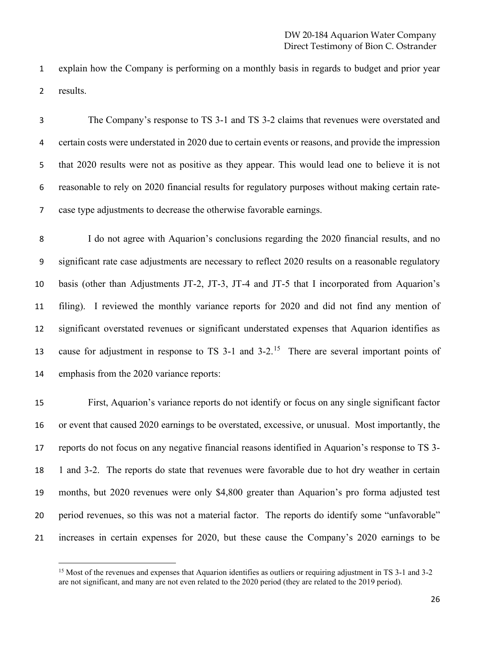explain how the Company is performing on a monthly basis in regards to budget and prior year results.

 The Company's response to TS 3-1 and TS 3-2 claims that revenues were overstated and certain costs were understated in 2020 due to certain events or reasons, and provide the impression that 2020 results were not as positive as they appear. This would lead one to believe it is not reasonable to rely on 2020 financial results for regulatory purposes without making certain rate-case type adjustments to decrease the otherwise favorable earnings.

 I do not agree with Aquarion's conclusions regarding the 2020 financial results, and no significant rate case adjustments are necessary to reflect 2020 results on a reasonable regulatory basis (other than Adjustments JT-2, JT-3, JT-4 and JT-5 that I incorporated from Aquarion's filing). I reviewed the monthly variance reports for 2020 and did not find any mention of significant overstated revenues or significant understated expenses that Aquarion identifies as 13 cause for adjustment in response to TS 3-1 and  $3-2$ .<sup>[15](#page-25-0)</sup> There are several important points of emphasis from the 2020 variance reports:

 First, Aquarion's variance reports do not identify or focus on any single significant factor or event that caused 2020 earnings to be overstated, excessive, or unusual. Most importantly, the reports do not focus on any negative financial reasons identified in Aquarion's response to TS 3- 1 and 3-2. The reports do state that revenues were favorable due to hot dry weather in certain months, but 2020 revenues were only \$4,800 greater than Aquarion's pro forma adjusted test period revenues, so this was not a material factor. The reports do identify some "unfavorable" increases in certain expenses for 2020, but these cause the Company's 2020 earnings to be

<span id="page-25-0"></span><sup>&</sup>lt;sup>15</sup> Most of the revenues and expenses that Aquarion identifies as outliers or requiring adjustment in TS 3-1 and 3-2 are not significant, and many are not even related to the 2020 period (they are related to the 2019 period).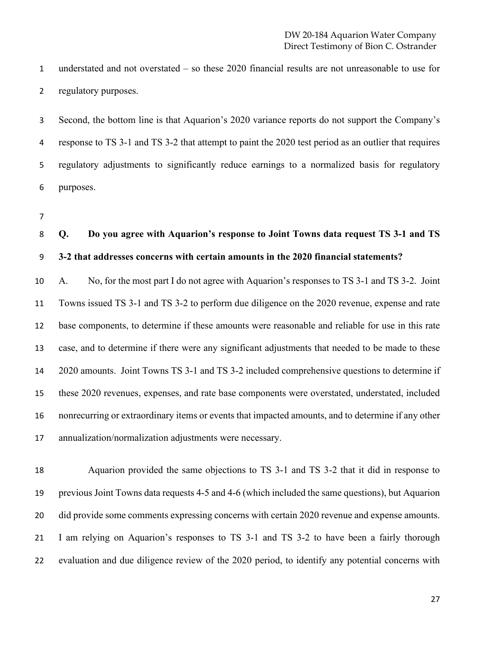understated and not overstated – so these 2020 financial results are not unreasonable to use for regulatory purposes.

 Second, the bottom line is that Aquarion's 2020 variance reports do not support the Company's response to TS 3-1 and TS 3-2 that attempt to paint the 2020 test period as an outlier that requires regulatory adjustments to significantly reduce earnings to a normalized basis for regulatory purposes.

# **Q. Do you agree with Aquarion's response to Joint Towns data request TS 3-1 and TS 3-2 that addresses concerns with certain amounts in the 2020 financial statements?**

 A. No, for the most part I do not agree with Aquarion's responses to TS 3-1 and TS 3-2. Joint Towns issued TS 3-1 and TS 3-2 to perform due diligence on the 2020 revenue, expense and rate base components, to determine if these amounts were reasonable and reliable for use in this rate case, and to determine if there were any significant adjustments that needed to be made to these 2020 amounts. Joint Towns TS 3-1 and TS 3-2 included comprehensive questions to determine if these 2020 revenues, expenses, and rate base components were overstated, understated, included nonrecurring or extraordinary items or events that impacted amounts, and to determine if any other annualization/normalization adjustments were necessary.

 Aquarion provided the same objections to TS 3-1 and TS 3-2 that it did in response to previous Joint Towns data requests 4-5 and 4-6 (which included the same questions), but Aquarion 20 did provide some comments expressing concerns with certain 2020 revenue and expense amounts. I am relying on Aquarion's responses to TS 3-1 and TS 3-2 to have been a fairly thorough evaluation and due diligence review of the 2020 period, to identify any potential concerns with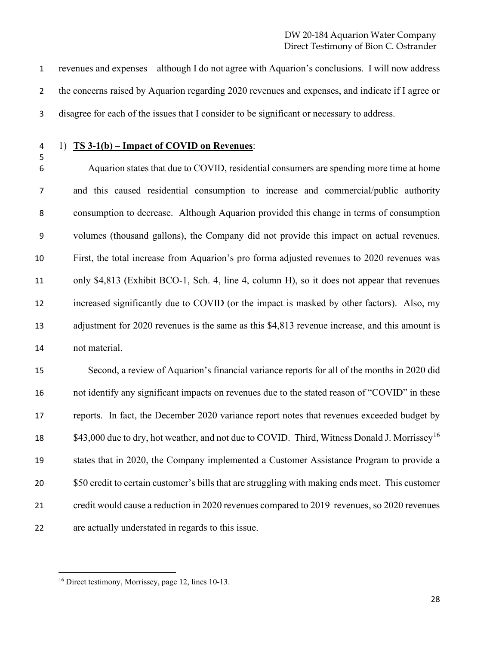revenues and expenses – although I do not agree with Aquarion's conclusions. I will now address the concerns raised by Aquarion regarding 2020 revenues and expenses, and indicate if I agree or disagree for each of the issues that I consider to be significant or necessary to address.

#### 1) **TS 3-1(b) – Impact of COVID on Revenues**:

 Aquarion states that due to COVID, residential consumers are spending more time at home and this caused residential consumption to increase and commercial/public authority consumption to decrease. Although Aquarion provided this change in terms of consumption volumes (thousand gallons), the Company did not provide this impact on actual revenues. First, the total increase from Aquarion's pro forma adjusted revenues to 2020 revenues was only \$4,813 (Exhibit BCO-1, Sch. 4, line 4, column H), so it does not appear that revenues increased significantly due to COVID (or the impact is masked by other factors). Also, my adjustment for 2020 revenues is the same as this \$4,813 revenue increase, and this amount is not material.

 Second, a review of Aquarion's financial variance reports for all of the months in 2020 did not identify any significant impacts on revenues due to the stated reason of "COVID" in these reports. In fact, the December 2020 variance report notes that revenues exceeded budget by \$43,000 due to dry, hot weather, and not due to COVID. Third, Witness Donald J. Morrissey<sup>[16](#page-27-0)</sup> states that in 2020, the Company implemented a Customer Assistance Program to provide a \$50 credit to certain customer's bills that are struggling with making ends meet. This customer credit would cause a reduction in 2020 revenues compared to 2019 revenues, so 2020 revenues are actually understated in regards to this issue.

<span id="page-27-0"></span>Direct testimony, Morrissey, page 12, lines 10-13.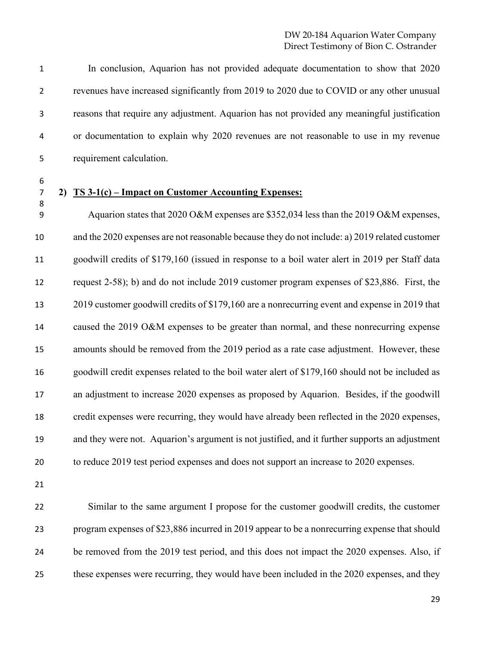In conclusion, Aquarion has not provided adequate documentation to show that 2020 revenues have increased significantly from 2019 to 2020 due to COVID or any other unusual reasons that require any adjustment. Aquarion has not provided any meaningful justification or documentation to explain why 2020 revenues are not reasonable to use in my revenue requirement calculation.

#### **2) TS 3-1(c) – Impact on Customer Accounting Expenses:**

 Aquarion states that 2020 O&M expenses are \$352,034 less than the 2019 O&M expenses, and the 2020 expenses are not reasonable because they do not include: a) 2019 related customer goodwill credits of \$179,160 (issued in response to a boil water alert in 2019 per Staff data request 2-58); b) and do not include 2019 customer program expenses of \$23,886. First, the 2019 customer goodwill credits of \$179,160 are a nonrecurring event and expense in 2019 that caused the 2019 O&M expenses to be greater than normal, and these nonrecurring expense amounts should be removed from the 2019 period as a rate case adjustment. However, these goodwill credit expenses related to the boil water alert of \$179,160 should not be included as an adjustment to increase 2020 expenses as proposed by Aquarion. Besides, if the goodwill credit expenses were recurring, they would have already been reflected in the 2020 expenses, and they were not. Aquarion's argument is not justified, and it further supports an adjustment to reduce 2019 test period expenses and does not support an increase to 2020 expenses.

 Similar to the same argument I propose for the customer goodwill credits, the customer program expenses of \$23,886 incurred in 2019 appear to be a nonrecurring expense that should 24 be removed from the 2019 test period, and this does not impact the 2020 expenses. Also, if these expenses were recurring, they would have been included in the 2020 expenses, and they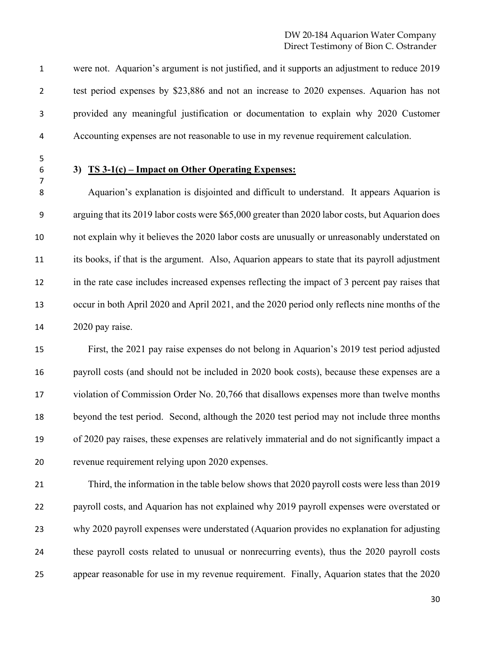were not. Aquarion's argument is not justified, and it supports an adjustment to reduce 2019 test period expenses by \$23,886 and not an increase to 2020 expenses. Aquarion has not provided any meaningful justification or documentation to explain why 2020 Customer Accounting expenses are not reasonable to use in my revenue requirement calculation.

#### **3) TS 3-1(c) – Impact on Other Operating Expenses:**

 Aquarion's explanation is disjointed and difficult to understand. It appears Aquarion is arguing that its 2019 labor costs were \$65,000 greater than 2020 labor costs, but Aquarion does not explain why it believes the 2020 labor costs are unusually or unreasonably understated on its books, if that is the argument. Also, Aquarion appears to state that its payroll adjustment in the rate case includes increased expenses reflecting the impact of 3 percent pay raises that occur in both April 2020 and April 2021, and the 2020 period only reflects nine months of the 2020 pay raise.

 First, the 2021 pay raise expenses do not belong in Aquarion's 2019 test period adjusted payroll costs (and should not be included in 2020 book costs), because these expenses are a violation of Commission Order No. 20,766 that disallows expenses more than twelve months beyond the test period. Second, although the 2020 test period may not include three months of 2020 pay raises, these expenses are relatively immaterial and do not significantly impact a revenue requirement relying upon 2020 expenses.

 Third, the information in the table below shows that 2020 payroll costs were less than 2019 payroll costs, and Aquarion has not explained why 2019 payroll expenses were overstated or why 2020 payroll expenses were understated (Aquarion provides no explanation for adjusting these payroll costs related to unusual or nonrecurring events), thus the 2020 payroll costs appear reasonable for use in my revenue requirement. Finally, Aquarion states that the 2020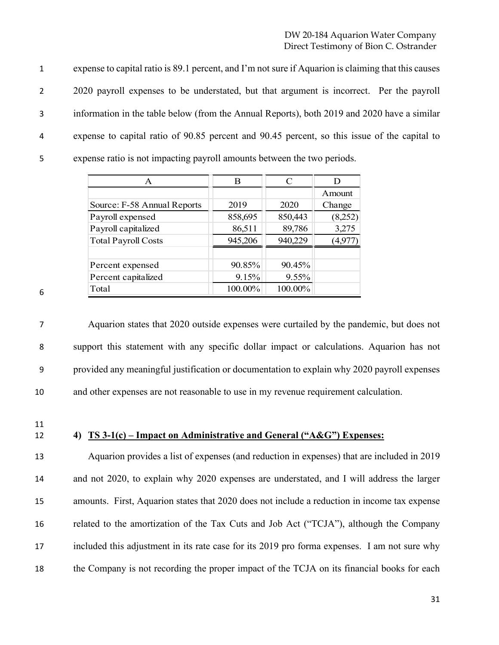expense to capital ratio is 89.1 percent, and I'm not sure if Aquarion is claiming that this causes 2 2020 payroll expenses to be understated, but that argument is incorrect. Per the payroll information in the table below (from the Annual Reports), both 2019 and 2020 have a similar expense to capital ratio of 90.85 percent and 90.45 percent, so this issue of the capital to expense ratio is not impacting payroll amounts between the two periods.

|   | A                           | В       | $\subset$ |         |
|---|-----------------------------|---------|-----------|---------|
|   |                             |         |           | Amount  |
|   | Source: F-58 Annual Reports | 2019    | 2020      | Change  |
|   | Payroll expensed            | 858,695 | 850,443   | (8,252) |
|   | Payroll capitalized         | 86,511  | 89,786    | 3,275   |
|   | <b>Total Payroll Costs</b>  | 945,206 | 940,229   | '4,9',  |
|   |                             |         |           |         |
|   | Percent expensed            | 90.85%  | 90.45%    |         |
|   | Percent capitalized         | 9.15%   | 9.55%     |         |
| 6 | Total                       | 100.00% | 100.00%   |         |

 Aquarion states that 2020 outside expenses were curtailed by the pandemic, but does not support this statement with any specific dollar impact or calculations. Aquarion has not provided any meaningful justification or documentation to explain why 2020 payroll expenses and other expenses are not reasonable to use in my revenue requirement calculation.

11

#### 12 **4) TS 3-1(c) – Impact on Administrative and General ("A&G") Expenses:**

 Aquarion provides a list of expenses (and reduction in expenses) that are included in 2019 and not 2020, to explain why 2020 expenses are understated, and I will address the larger amounts. First, Aquarion states that 2020 does not include a reduction in income tax expense related to the amortization of the Tax Cuts and Job Act ("TCJA"), although the Company included this adjustment in its rate case for its 2019 pro forma expenses. I am not sure why 18 the Company is not recording the proper impact of the TCJA on its financial books for each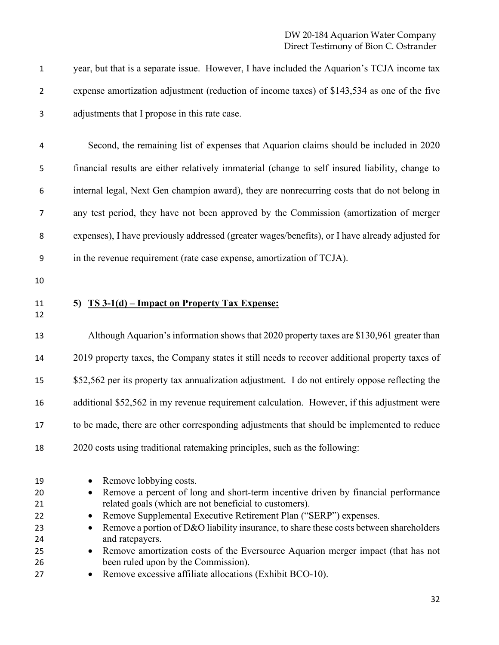year, but that is a separate issue. However, I have included the Aquarion's TCJA income tax expense amortization adjustment (reduction of income taxes) of \$143,534 as one of the five adjustments that I propose in this rate case.

 Second, the remaining list of expenses that Aquarion claims should be included in 2020 financial results are either relatively immaterial (change to self insured liability, change to internal legal, Next Gen champion award), they are nonrecurring costs that do not belong in any test period, they have not been approved by the Commission (amortization of merger expenses), I have previously addressed (greater wages/benefits), or I have already adjusted for in the revenue requirement (rate case expense, amortization of TCJA).

- 
- 

#### **5) TS 3-1(d) – Impact on Property Tax Expense:**

 Although Aquarion's information showsthat 2020 property taxes are \$130,961 greater than 2019 property taxes, the Company states it still needs to recover additional property taxes of \$52,562 per its property tax annualization adjustment. I do not entirely oppose reflecting the additional \$52,562 in my revenue requirement calculation. However, if this adjustment were to be made, there are other corresponding adjustments that should be implemented to reduce 2020 costs using traditional ratemaking principles, such as the following:

| 19 |           | • Remove lobbying costs.                                                               |
|----|-----------|----------------------------------------------------------------------------------------|
| 20 | $\bullet$ | Remove a percent of long and short-term incentive driven by financial performance      |
| 21 |           | related goals (which are not beneficial to customers).                                 |
| 22 | $\bullet$ | Remove Supplemental Executive Retirement Plan ("SERP") expenses.                       |
| 23 | $\bullet$ | Remove a portion of D&O liability insurance, to share these costs between shareholders |
| 24 |           | and ratepayers.                                                                        |
| 25 | $\bullet$ | Remove amortization costs of the Eversource Aquarion merger impact (that has not       |
| 26 |           | been ruled upon by the Commission).                                                    |
| 27 |           | Remove excessive affiliate allocations (Exhibit BCO-10).                               |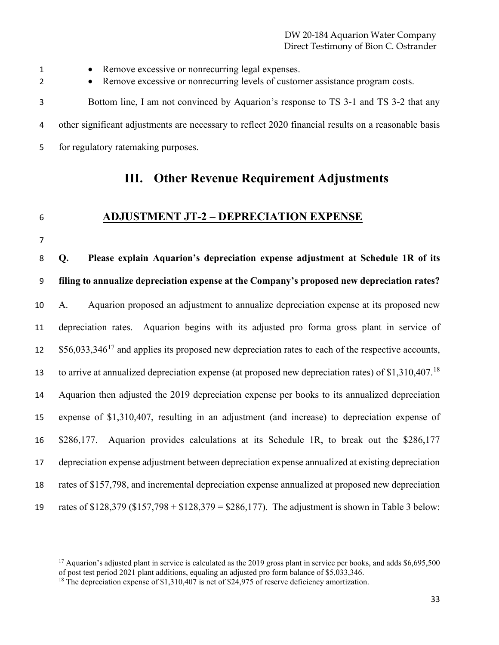• Remove excessive or nonrecurring legal expenses. 2 • Remove excessive or nonrecurring levels of customer assistance program costs. Bottom line, I am not convinced by Aquarion's response to TS 3-1 and TS 3-2 that any other significant adjustments are necessary to reflect 2020 financial results on a reasonable basis for regulatory ratemaking purposes.

### **III. Other Revenue Requirement Adjustments**

### **ADJUSTMENT JT-2 – DEPRECIATION EXPENSE**

 **Q. Please explain Aquarion's depreciation expense adjustment at Schedule 1R of its filing to annualize depreciation expense at the Company's proposed new depreciation rates?**  A. Aquarion proposed an adjustment to annualize depreciation expense at its proposed new depreciation rates. Aquarion begins with its adjusted pro forma gross plant in service of  $$56,033,346^{17}$  $$56,033,346^{17}$  $$56,033,346^{17}$  and applies its proposed new depreciation rates to each of the respective accounts, to arrive at annualized depreciation expense (at proposed new depreciation rates) of  $$1,310,407<sup>18</sup>$  $$1,310,407<sup>18</sup>$  $$1,310,407<sup>18</sup>$  Aquarion then adjusted the 2019 depreciation expense per books to its annualized depreciation expense of \$1,310,407, resulting in an adjustment (and increase) to depreciation expense of \$286,177. Aquarion provides calculations at its Schedule 1R, to break out the \$286,177 depreciation expense adjustment between depreciation expense annualized at existing depreciation rates of \$157,798, and incremental depreciation expense annualized at proposed new depreciation rates of \$128,379 (\$157,798 + \$128,379 = \$286,177). The adjustment is shown in Table 3 below:

<span id="page-32-0"></span><sup>&</sup>lt;sup>17</sup> Aquarion's adjusted plant in service is calculated as the 2019 gross plant in service per books, and adds \$6,695,500 of post test period 2021 plant additions, equaling an adjusted pro form balance of \$5,033,346.

<span id="page-32-1"></span><sup>&</sup>lt;sup>18</sup> The depreciation expense of \$1,310,407 is net of \$24,975 of reserve deficiency amortization.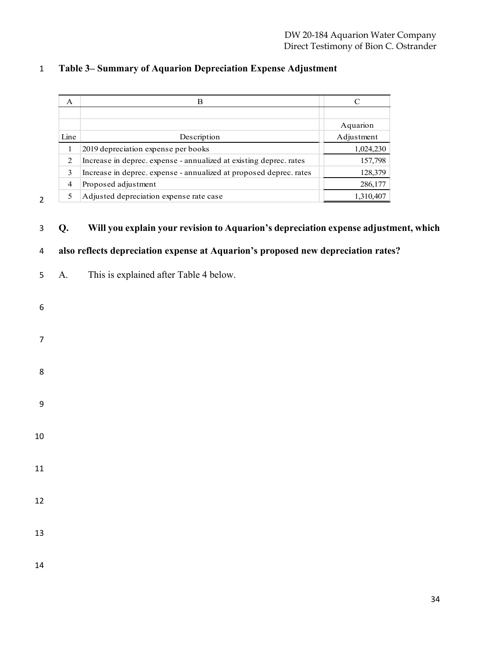| A    | B                                                                  |            |
|------|--------------------------------------------------------------------|------------|
|      |                                                                    |            |
|      |                                                                    | Aquarion   |
| Line | Description                                                        | Adjustment |
| 1    | 2019 depreciation expense per books                                | 1,024,230  |
| 2    | Increase in deprec. expense - annualized at existing deprec. rates | 157,798    |
| 3    | Increase in deprec. expense - annualized at proposed deprec. rates | 128,379    |
| 4    | Proposed adjustment                                                | 286,177    |
| 5    | Adjusted depreciation expense rate case                            | 1,310,407  |

### **Table 3– Summary of Aquarion Depreciation Expense Adjustment**

#### **Q. Will you explain your revision to Aquarion's depreciation expense adjustment, which**

### **also reflects depreciation expense at Aquarion's proposed new depreciation rates?**

- A. This is explained after Table 4 below.
- 
- 
- 
- 
- 
- 
- 
- 
- 
- 
- 
-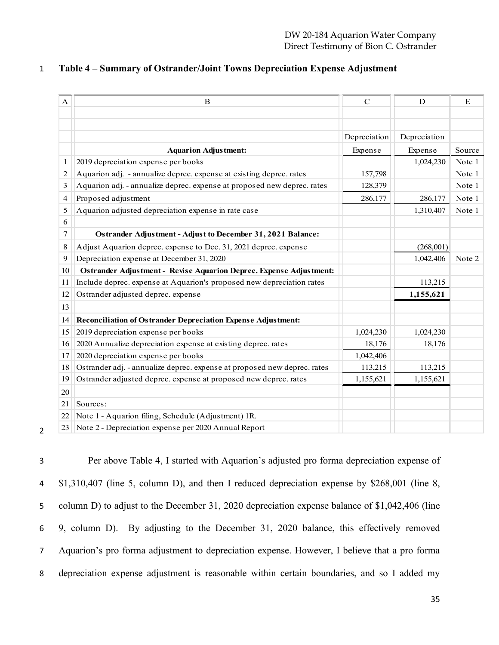|  | Table 4 – Summary of Ostrander/Joint Towns Depreciation Expense Adjustment |  |
|--|----------------------------------------------------------------------------|--|
|  |                                                                            |  |

| A  | $\bf{B}$                                                                 | $\mathbf C$  | D            |        |
|----|--------------------------------------------------------------------------|--------------|--------------|--------|
|    |                                                                          |              |              |        |
|    |                                                                          |              |              |        |
|    |                                                                          | Depreciation | Depreciation |        |
|    | <b>Aquarion Adjustment:</b>                                              | Expense      | Expense      | Source |
| 1  | 2019 depreciation expense per books                                      |              | 1,024,230    | Note 1 |
| 2  | Aquarion adj. - annualize deprec. expense at existing deprec. rates      | 157,798      |              | Note 1 |
| 3  | Aquarion adj. - annualize deprec. expense at proposed new deprec. rates  | 128,379      |              | Note 1 |
| 4  | Proposed adjustment                                                      | 286,177      | 286,177      | Note 1 |
| 5  | Aquarion adjusted depreciation expense in rate case                      |              | 1,310,407    | Note 1 |
| 6  |                                                                          |              |              |        |
| 7  | Ostrander Adjustment - Adjust to December 31, 2021 Balance:              |              |              |        |
| 8  | Adjust Aquarion deprec. expense to Dec. 31, 2021 deprec. expense         |              | (268,001)    |        |
| 9  | Depreciation expense at December 31, 2020                                |              | 1,042,406    | Note 2 |
| 10 | Ostrander Adjustment - Revise Aquarion Deprec. Expense Adjustment:       |              |              |        |
| 11 | Include deprec. expense at Aquarion's proposed new depreciation rates    |              | 113,215      |        |
| 12 | Ostrander adjusted deprec. expense                                       |              | 1,155,621    |        |
| 13 |                                                                          |              |              |        |
| 14 | <b>Reconciliation of Ostrander Depreciation Expense Adjustment:</b>      |              |              |        |
| 15 | 2019 depreciation expense per books                                      | 1,024,230    | 1,024,230    |        |
| 16 | 2020 Annualize depreciation expense at existing deprec. rates            | 18,176       | 18,176       |        |
| 17 | 2020 depreciation expense per books                                      | 1,042,406    |              |        |
| 18 | Ostrander adj. - annualize deprec. expense at proposed new deprec. rates | 113,215      | 113,215      |        |
| 19 | Ostrander adjusted deprec. expense at proposed new deprec. rates         | 1,155,621    | 1,155,621    |        |
| 20 |                                                                          |              |              |        |
| 21 | Sources:                                                                 |              |              |        |
| 22 | Note 1 - Aquarion filing, Schedule (Adjustment) 1R.                      |              |              |        |
| 23 | Note 2 - Depreciation expense per 2020 Annual Report                     |              |              |        |

 Per above Table 4, I started with Aquarion's adjusted pro forma depreciation expense of \$1,310,407 (line 5, column D), and then I reduced depreciation expense by \$268,001 (line 8, column D) to adjust to the December 31, 2020 depreciation expense balance of \$1,042,406 (line 9, column D). By adjusting to the December 31, 2020 balance, this effectively removed Aquarion's pro forma adjustment to depreciation expense. However, I believe that a pro forma depreciation expense adjustment is reasonable within certain boundaries, and so I added my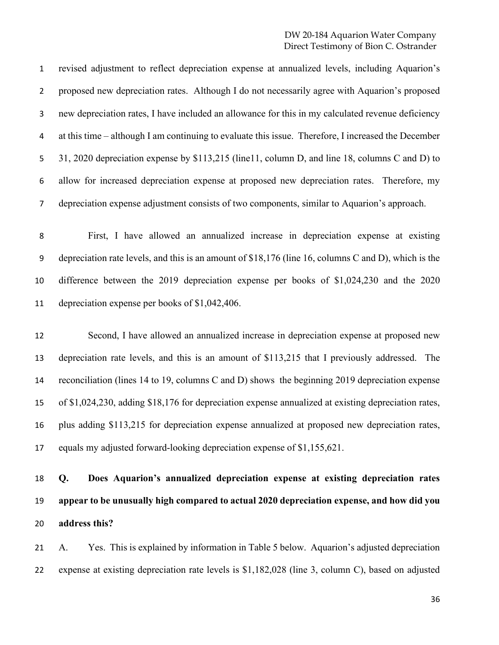revised adjustment to reflect depreciation expense at annualized levels, including Aquarion's proposed new depreciation rates. Although I do not necessarily agree with Aquarion's proposed new depreciation rates, I have included an allowance for this in my calculated revenue deficiency at this time – although I am continuing to evaluate this issue. Therefore, I increased the December 5 31, 2020 depreciation expense by \$113,215 (line11, column D, and line 18, columns C and D) to allow for increased depreciation expense at proposed new depreciation rates. Therefore, my depreciation expense adjustment consists of two components, similar to Aquarion's approach.

 First, I have allowed an annualized increase in depreciation expense at existing depreciation rate levels, and this is an amount of \$18,176 (line 16, columns C and D), which is the difference between the 2019 depreciation expense per books of \$1,024,230 and the 2020 depreciation expense per books of \$1,042,406.

 Second, I have allowed an annualized increase in depreciation expense at proposed new depreciation rate levels, and this is an amount of \$113,215 that I previously addressed. The reconciliation (lines 14 to 19, columns C and D) shows the beginning 2019 depreciation expense of \$1,024,230, adding \$18,176 for depreciation expense annualized at existing depreciation rates, plus adding \$113,215 for depreciation expense annualized at proposed new depreciation rates, equals my adjusted forward-looking depreciation expense of \$1,155,621.

# **Q. Does Aquarion's annualized depreciation expense at existing depreciation rates appear to be unusually high compared to actual 2020 depreciation expense, and how did you address this?**

 A. Yes. This is explained by information in Table 5 below. Aquarion's adjusted depreciation expense at existing depreciation rate levels is \$1,182,028 (line 3, column C), based on adjusted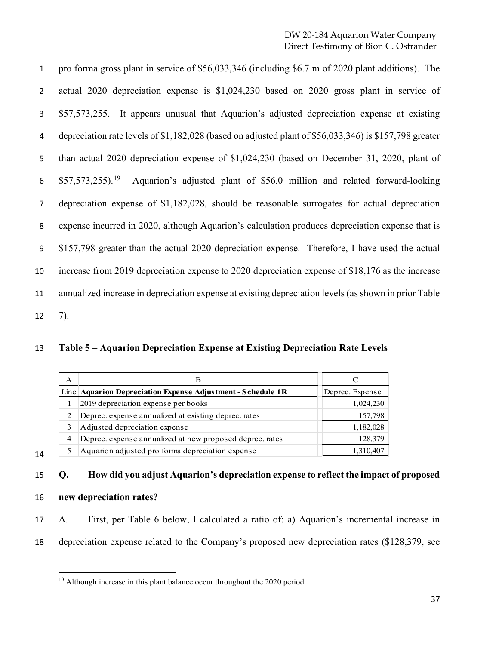pro forma gross plant in service of \$56,033,346 (including \$6.7 m of 2020 plant additions). The actual 2020 depreciation expense is \$1,024,230 based on 2020 gross plant in service of \$57,573,255. It appears unusual that Aquarion's adjusted depreciation expense at existing depreciation rate levels of \$1,182,028 (based on adjusted plant of \$56,033,346) is \$157,798 greater than actual 2020 depreciation expense of \$1,024,230 (based on December 31, 2020, plant of  $\frac{10}{2}$  \$57,573,255).<sup>[19](#page-36-0)</sup> Aquarion's adjusted plant of \$56.0 million and related forward-looking depreciation expense of \$1,182,028, should be reasonable surrogates for actual depreciation expense incurred in 2020, although Aquarion's calculation produces depreciation expense that is \$157,798 greater than the actual 2020 depreciation expense. Therefore, I have used the actual increase from 2019 depreciation expense to 2020 depreciation expense of \$18,176 as the increase annualized increase in depreciation expense at existing depreciation levels(as shown in prior Table 7).

**Table 5 – Aquarion Depreciation Expense at Existing Depreciation Rate Levels**

|    | A | B                                                           |                 |
|----|---|-------------------------------------------------------------|-----------------|
|    |   | Line Aquarion Depreciation Expense Adjustment - Schedule 1R | Deprec. Expense |
|    |   | 2019 depreciation expense per books                         | 1,024,230       |
|    | 2 | Deprec. expense annualized at existing deprec. rates        | 157,798         |
|    |   | Adjusted depreciation expense                               | 1,182,028       |
|    | 4 | Deprec. expense annualized at new proposed deprec. rates    | 128,379         |
| 14 |   | Aquarion adjusted pro forma depreciation expense            | 1,310,407       |

# **Q. How did you adjust Aquarion's depreciation expense to reflect the impact of proposed**

**new depreciation rates?**

 A. First, per Table 6 below, I calculated a ratio of: a) Aquarion's incremental increase in depreciation expense related to the Company's proposed new depreciation rates (\$128,379, see

<span id="page-36-0"></span>Although increase in this plant balance occur throughout the 2020 period.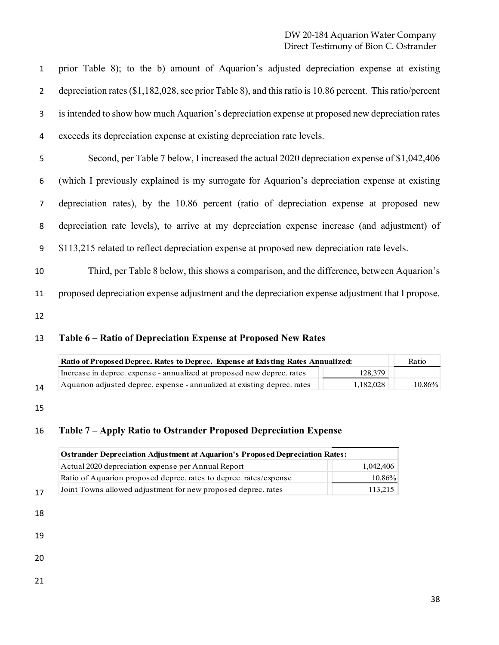prior Table 8); to the b) amount of Aquarion's adjusted depreciation expense at existing depreciation rates (\$1,182,028, see prior Table 8), and this ratio is 10.86 percent. This ratio/percent is intended to show how much Aquarion's depreciation expense at proposed new depreciation rates exceeds its depreciation expense at existing depreciation rate levels.

 Second, per Table 7 below, I increased the actual 2020 depreciation expense of \$1,042,406 (which I previously explained is my surrogate for Aquarion's depreciation expense at existing depreciation rates), by the 10.86 percent (ratio of depreciation expense at proposed new depreciation rate levels), to arrive at my depreciation expense increase (and adjustment) of \$113,215 related to reflect depreciation expense at proposed new depreciation rate levels.

 Third, per Table 8 below, this shows a comparison, and the difference, between Aquarion's proposed depreciation expense adjustment and the depreciation expense adjustment that I propose.

#### **Table 6 – Ratio of Depreciation Expense at Proposed New Rates**

|            | Ratio of Proposed Deprec. Rates to Deprec. Expense at Existing Rates Annualized: |           | Ratio     |  |
|------------|----------------------------------------------------------------------------------|-----------|-----------|--|
|            | Increase in deprec. expense - annualized at proposed new deprec. rates           | 128,379   |           |  |
| $1\Lambda$ | Aquarion adjusted deprec. expense - annualized at existing deprec. rates         | 1,182,028 | $10.86\%$ |  |

#### **Table 7 – Apply Ratio to Ostrander Proposed Depreciation Expense**

| <b>Ostrander Depreciation Adjustment at Aquarion's Proposed Depreciation Rates:</b> |           |
|-------------------------------------------------------------------------------------|-----------|
| Actual 2020 depreciation expense per Annual Report                                  | 1,042,406 |
| Ratio of Aquarion proposed deprec. rates to deprec. rates/expense                   | $10.86\%$ |
| Joint Towns allowed adjustment for new proposed deprec. rates<br>17                 | 113.215   |

- 
- 
- 
- 
-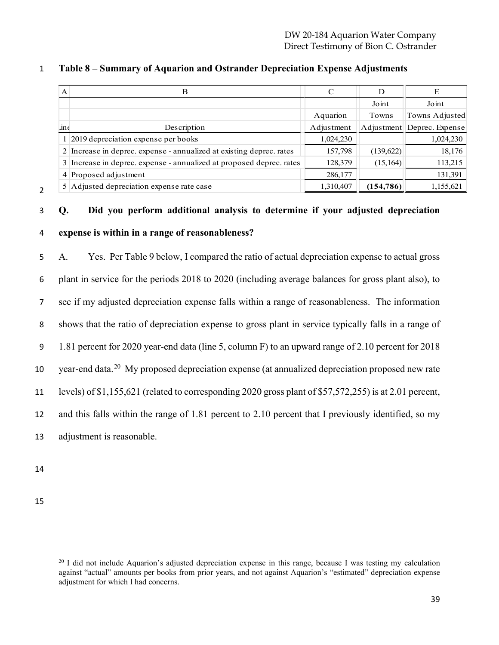| A   |                                                                      |            |            |                            |
|-----|----------------------------------------------------------------------|------------|------------|----------------------------|
|     |                                                                      |            | Joint      | Joint                      |
|     |                                                                      | Aquarion   | Towns      | Towns Adjusted             |
| 1ne | Description                                                          | Adjustment |            | Adjustment Deprec. Expense |
|     | 1 2019 depreciation expense per books                                | 1,024,230  |            | 1,024,230                  |
|     | 2 Increase in deprec. expense - annualized at existing deprec. rates | 157,798    | (139,622)  | 18,176                     |
|     | 3 Increase in deprec. expense - annualized at proposed deprec. rates | 128,379    | (15, 164)  | 113,215                    |
|     | 4 Proposed adjustment                                                | 286,177    |            | 131,391                    |
|     | 5 Adjusted depreciation expense rate case                            | 1,310,407  | (154, 786) | 1,155,621                  |

#### **Table 8 – Summary of Aquarion and Ostrander Depreciation Expense Adjustments**

#### **Q. Did you perform additional analysis to determine if your adjusted depreciation**

#### **expense is within in a range of reasonableness?**

 A. Yes. Per Table 9 below, I compared the ratio of actual depreciation expense to actual gross plant in service for the periods 2018 to 2020 (including average balances for gross plant also), to see if my adjusted depreciation expense falls within a range of reasonableness. The information shows that the ratio of depreciation expense to gross plant in service typically falls in a range of 1.81 percent for 2020 year-end data (line 5, column F) to an upward range of 2.10 percent for 2018 10 year-end data.<sup>[20](#page-38-0)</sup> My proposed depreciation expense (at annualized depreciation proposed new rate levels) of \$1,155,621 (related to corresponding 2020 gross plant of \$57,572,255) is at 2.01 percent, and this falls within the range of 1.81 percent to 2.10 percent that I previously identified, so my adjustment is reasonable.

<span id="page-38-0"></span> $^{20}$  I did not include Aquarion's adjusted depreciation expense in this range, because I was testing my calculation against "actual" amounts per books from prior years, and not against Aquarion's "estimated" depreciation expense adjustment for which I had concerns.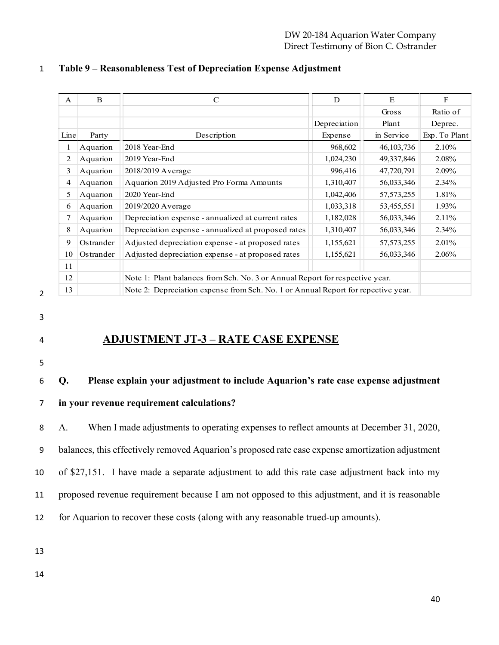| $\mathsf{A}$ | B         | $\mathcal{C}$                                                                     | D            | E            | $\mathbf{F}$  |
|--------------|-----------|-----------------------------------------------------------------------------------|--------------|--------------|---------------|
|              |           |                                                                                   |              | Gross        | Ratio of      |
|              |           |                                                                                   | Depreciation | Plant        | Deprec.       |
| Line         | Party     | Description                                                                       | Expense      | in Service   | Exp. To Plant |
|              | Aquarion  | 2018 Year-End                                                                     | 968,602      | 46, 103, 736 | 2.10%         |
| 2            | Aquarion  | 2019 Year-End                                                                     | 1,024,230    | 49,337,846   | 2.08%         |
| 3            | Aquarion  | 2018/2019 Average                                                                 | 996,416      | 47,720,791   | 2.09%         |
| 4            | Aquarion  | Aquarion 2019 Adjusted Pro Forma Amounts                                          | 1,310,407    | 56,033,346   | $2.34\%$      |
| 5            | Aquarion  | 2020 Year-End                                                                     | 1,042,406    | 57, 573, 255 | 1.81%         |
| 6            | Aquarion  | 2019/2020 Average                                                                 | 1,033,318    | 53,455,551   | 1.93%         |
| 7            | Aquarion  | Depreciation expense - annualized at current rates                                | 1,182,028    | 56,033,346   | $2.11\%$      |
| 8            | Aquarion  | Depreciation expense - annualized at proposed rates                               | 1,310,407    | 56,033,346   | $2.34\%$      |
| 9            | Ostrander | Adjusted depreciation expense - at proposed rates                                 | 1,155,621    | 57, 573, 255 | $2.01\%$      |
| 10           | Ostrander | Adjusted depreciation expense - at proposed rates                                 | 1,155,621    | 56,033,346   | 2.06%         |
| 11           |           |                                                                                   |              |              |               |
| 12           |           | Note 1: Plant balances from Sch. No. 3 or Annual Report for respective year.      |              |              |               |
| 13           |           | Note 2: Depreciation expense from Sch. No. 1 or Annual Report for repective year. |              |              |               |

#### **Table 9 – Reasonableness Test of Depreciation Expense Adjustment**

# 

# **ADJUSTMENT JT-3 – RATE CASE EXPENSE**

### **Q. Please explain your adjustment to include Aquarion's rate case expense adjustment**

**in your revenue requirement calculations?**

 A. When I made adjustments to operating expenses to reflect amounts at December 31, 2020, balances, this effectively removed Aquarion's proposed rate case expense amortization adjustment of \$27,151. I have made a separate adjustment to add this rate case adjustment back into my

proposed revenue requirement because I am not opposed to this adjustment, and it is reasonable

for Aquarion to recover these costs (along with any reasonable trued-up amounts).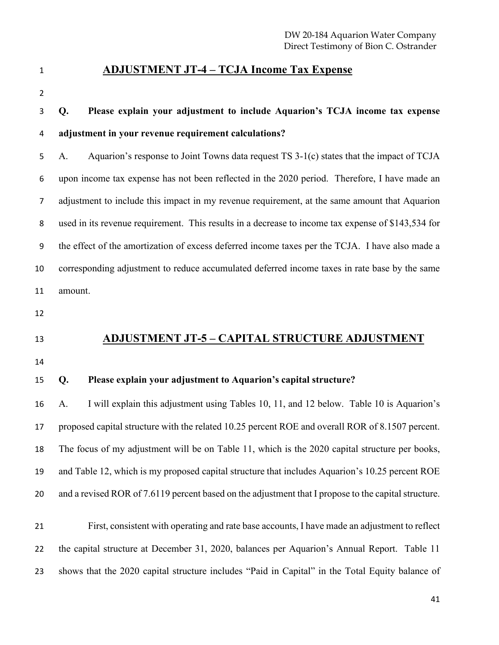#### **ADJUSTMENT JT-4 – TCJA Income Tax Expense**

# **Q. Please explain your adjustment to include Aquarion's TCJA income tax expense adjustment in your revenue requirement calculations?**

 A. Aquarion's response to Joint Towns data request TS 3-1(c) states that the impact of TCJA upon income tax expense has not been reflected in the 2020 period. Therefore, I have made an adjustment to include this impact in my revenue requirement, at the same amount that Aquarion used in its revenue requirement. This results in a decrease to income tax expense of \$143,534 for the effect of the amortization of excess deferred income taxes per the TCJA. I have also made a corresponding adjustment to reduce accumulated deferred income taxes in rate base by the same amount.

# **ADJUSTMENT JT-5 – CAPITAL STRUCTURE ADJUSTMENT**

#### **Q. Please explain your adjustment to Aquarion's capital structure?**

 A. I will explain this adjustment using Tables 10, 11, and 12 below. Table 10 is Aquarion's proposed capital structure with the related 10.25 percent ROE and overall ROR of 8.1507 percent. The focus of my adjustment will be on Table 11, which is the 2020 capital structure per books, and Table 12, which is my proposed capital structure that includes Aquarion's 10.25 percent ROE and a revised ROR of 7.6119 percent based on the adjustment that I propose to the capital structure.

 First, consistent with operating and rate base accounts, I have made an adjustment to reflect the capital structure at December 31, 2020, balances per Aquarion's Annual Report. Table 11 shows that the 2020 capital structure includes "Paid in Capital" in the Total Equity balance of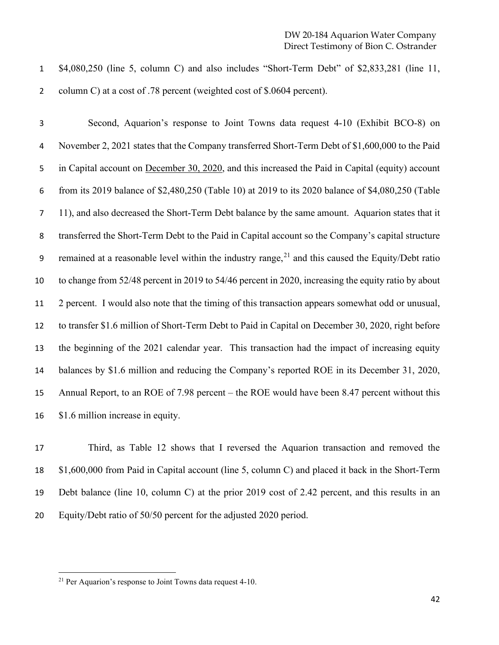\$4,080,250 (line 5, column C) and also includes "Short-Term Debt" of \$2,833,281 (line 11, column C) at a cost of .78 percent (weighted cost of \$.0604 percent).

 Second, Aquarion's response to Joint Towns data request 4-10 (Exhibit BCO-8) on November 2, 2021 states that the Company transferred Short-Term Debt of \$1,600,000 to the Paid in Capital account on December 30, 2020, and this increased the Paid in Capital (equity) account from its 2019 balance of \$2,480,250 (Table 10) at 2019 to its 2020 balance of \$4,080,250 (Table 11), and also decreased the Short-Term Debt balance by the same amount. Aquarion states that it transferred the Short-Term Debt to the Paid in Capital account so the Company's capital structure 9 remained at a reasonable level within the industry range, and this caused the Equity/Debt ratio to change from 52/48 percent in 2019 to 54/46 percent in 2020, increasing the equity ratio by about 2 percent. I would also note that the timing of this transaction appears somewhat odd or unusual, to transfer \$1.6 million of Short-Term Debt to Paid in Capital on December 30, 2020, right before the beginning of the 2021 calendar year. This transaction had the impact of increasing equity 14 balances by \$1.6 million and reducing the Company's reported ROE in its December 31, 2020, Annual Report, to an ROE of 7.98 percent – the ROE would have been 8.47 percent without this \$1.6 million increase in equity.

 Third, as Table 12 shows that I reversed the Aquarion transaction and removed the \$1,600,000 from Paid in Capital account (line 5, column C) and placed it back in the Short-Term Debt balance (line 10, column C) at the prior 2019 cost of 2.42 percent, and this results in an Equity/Debt ratio of 50/50 percent for the adjusted 2020 period.

<span id="page-41-0"></span><sup>&</sup>lt;sup>21</sup> Per Aquarion's response to Joint Towns data request 4-10.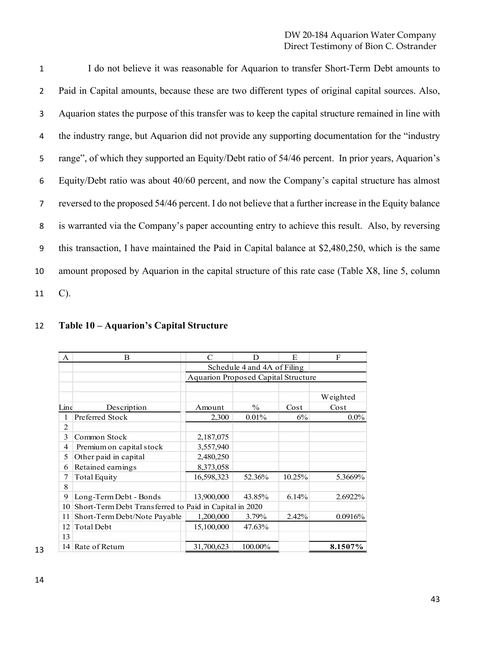I do not believe it was reasonable for Aquarion to transfer Short-Term Debt amounts to Paid in Capital amounts, because these are two different types of original capital sources. Also, Aquarion states the purpose of this transfer was to keep the capital structure remained in line with the industry range, but Aquarion did not provide any supporting documentation for the "industry range", of which they supported an Equity/Debt ratio of 54/46 percent. In prior years, Aquarion's Equity/Debt ratio was about 40/60 percent, and now the Company's capital structure has almost reversed to the proposed 54/46 percent. I do not believe that a further increase in the Equity balance is warranted via the Company's paper accounting entry to achieve this result. Also, by reversing this transaction, I have maintained the Paid in Capital balance at \$2,480,250, which is the same amount proposed by Aquarion in the capital structure of this rate case (Table X8, line 5, column C).

#### **Table 10 – Aquarion's Capital Structure**

| A              | B                                                      | $\mathcal{C}$                       | D                           | E      | $\mathbf F$ |  |
|----------------|--------------------------------------------------------|-------------------------------------|-----------------------------|--------|-------------|--|
|                |                                                        |                                     | Schedule 4 and 4A of Filing |        |             |  |
|                |                                                        | Aquarion Proposed Capital Structure |                             |        |             |  |
|                |                                                        |                                     |                             |        |             |  |
|                |                                                        |                                     |                             |        | Weighted    |  |
| Line           | Description                                            | Amount                              | $\frac{0}{0}$               | Cost   | Cost        |  |
| 1              | Preferred Stock                                        | 2,300                               | 0.01%                       | 6%     | $0.0\%$     |  |
| $\overline{2}$ |                                                        |                                     |                             |        |             |  |
| $\mathbf{3}$   | Common Stock                                           | 2,187,075                           |                             |        |             |  |
| 4              | Premium on capital stock                               | 3,557,940                           |                             |        |             |  |
| 5              | Other paid in capital                                  | 2,480,250                           |                             |        |             |  |
| 6              | Retained earnings                                      | 8,373,058                           |                             |        |             |  |
|                | Total Equity                                           | 16,598,323                          | 52.36%                      | 10.25% | 5.3669%     |  |
| 8              |                                                        |                                     |                             |        |             |  |
| 9              | Long-Term Debt - Bonds                                 | 13,900,000                          | 43.85%                      | 6.14%  | 2.6922%     |  |
| 10             | Short-Term Debt Transferred to Paid in Capital in 2020 |                                     |                             |        |             |  |
| 11             | Short-Term Debt/Note Payable                           | 1,200,000                           | 3.79%                       | 2.42%  | 0.0916%     |  |
| 12             | Total Debt                                             | 15,100,000                          | 47.63%                      |        |             |  |
| 13             |                                                        |                                     |                             |        |             |  |
|                | 14 Rate of Return                                      | 31,700,623                          | 100.00%                     |        | 8.1507%     |  |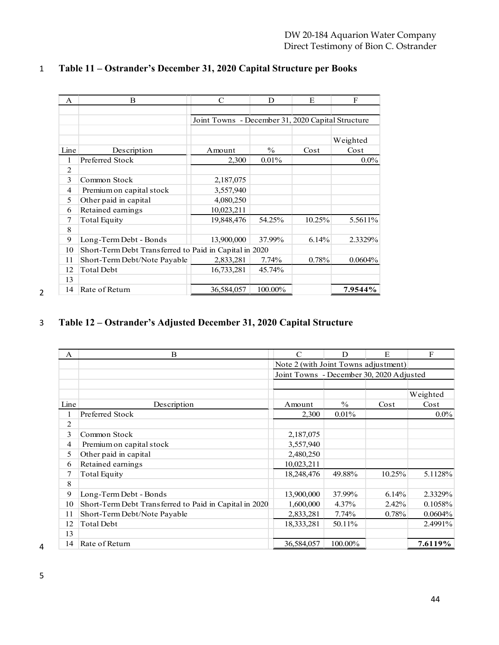| A              | B                                                      | C                                                 | D             | E      | F          |
|----------------|--------------------------------------------------------|---------------------------------------------------|---------------|--------|------------|
|                |                                                        |                                                   |               |        |            |
|                |                                                        | Joint Towns - December 31, 2020 Capital Structure |               |        |            |
|                |                                                        |                                                   |               |        |            |
|                |                                                        |                                                   |               |        | Weighted   |
| Line           | Description                                            | Amount                                            | $\frac{0}{0}$ | Cost   | Cost       |
| 1              | Preferred Stock                                        | 2,300                                             | 0.01%         |        | $0.0\%$    |
| $\overline{2}$ |                                                        |                                                   |               |        |            |
| 3              | Common Stock                                           | 2,187,075                                         |               |        |            |
| $\overline{4}$ | Premium on capital stock                               | 3,557,940                                         |               |        |            |
| 5              | Other paid in capital                                  | 4,080,250                                         |               |        |            |
| 6              | Retained earnings                                      | 10,023,211                                        |               |        |            |
| 7              | <b>Total Equity</b>                                    | 19,848,476                                        | 54.25%        | 10.25% | 5.5611%    |
| 8              |                                                        |                                                   |               |        |            |
| 9              | Long-Term Debt - Bonds                                 | 13,900,000                                        | 37.99%        | 6.14%  | 2.3329%    |
| 10             | Short-Term Debt Transferred to Paid in Capital in 2020 |                                                   |               |        |            |
| 11             | Short-Term Debt/Note Payable                           | 2,833,281                                         | $7.74\%$      | 0.78%  | $0.0604\%$ |
| 12             | <b>Total Debt</b>                                      | 16,733,281                                        | 45.74%        |        |            |
| 13             |                                                        |                                                   |               |        |            |
| 14             | Rate of Return                                         | 36,584,057                                        | 100.00%       |        | 7.9544%    |

#### **Table 11 – Ostrander's December 31, 2020 Capital Structure per Books**

### **Table 12 – Ostrander's Adjusted December 31, 2020 Capital Structure**

| $\mathsf{A}$ | B                                                      | $\mathcal{C}$                            | D             | E      | $\mathbf{F}$ |
|--------------|--------------------------------------------------------|------------------------------------------|---------------|--------|--------------|
|              |                                                        | Note 2 (with Joint Towns adjustment)     |               |        |              |
|              |                                                        | Joint Towns - December 30, 2020 Adjusted |               |        |              |
|              |                                                        |                                          |               |        |              |
|              |                                                        |                                          |               |        | Weighted     |
| Line         | Description                                            | Amount                                   | $\frac{0}{0}$ | Cost   | Cost         |
|              | Preferred Stock                                        | 2,300                                    | 0.01%         |        | $0.0\%$      |
| 2            |                                                        |                                          |               |        |              |
| 3            | Common Stock                                           | 2,187,075                                |               |        |              |
| 4            | Premium on capital stock                               | 3,557,940                                |               |        |              |
| 5            | Other paid in capital                                  | 2,480,250                                |               |        |              |
| 6            | Retained earnings                                      | 10,023,211                               |               |        |              |
| 7            | Total Equity                                           | 18,248,476                               | 49.88%        | 10.25% | 5.1128%      |
| 8            |                                                        |                                          |               |        |              |
| 9            | Long-Term Debt - Bonds                                 | 13,900,000                               | 37.99%        | 6.14%  | 2.3329%      |
| 10           | Short-Term Debt Transferred to Paid in Capital in 2020 | 1,600,000                                | 4.37%         | 2.42%  | 0.1058%      |
| 11           | Short-Term Debt/Note Payable                           | 2,833,281                                | 7.74%         | 0.78%  | 0.0604%      |
| 12           | <b>Total Debt</b>                                      | 18,333,281                               | 50.11%        |        | 2.4991%      |
| 13           |                                                        |                                          |               |        |              |
| 14           | Rate of Return                                         | 36,584,057                               | 100.00%       |        | 7.6119%      |